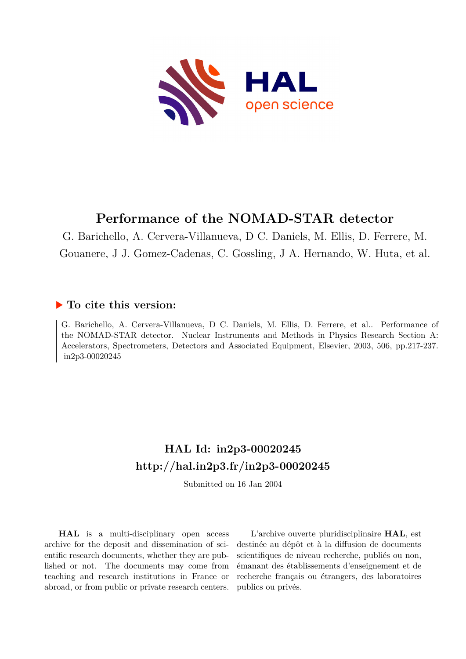

## **Performance of the NOMAD-STAR detector**

G. Barichello, A. Cervera-Villanueva, D C. Daniels, M. Ellis, D. Ferrere, M. Gouanere, J J. Gomez-Cadenas, C. Gossling, J A. Hernando, W. Huta, et al.

## **To cite this version:**

G. Barichello, A. Cervera-Villanueva, D C. Daniels, M. Ellis, D. Ferrere, et al.. Performance of the NOMAD-STAR detector. Nuclear Instruments and Methods in Physics Research Section A: Accelerators, Spectrometers, Detectors and Associated Equipment, Elsevier, 2003, 506, pp.217-237. in2p3-00020245

## **HAL Id: in2p3-00020245 <http://hal.in2p3.fr/in2p3-00020245>**

Submitted on 16 Jan 2004

**HAL** is a multi-disciplinary open access archive for the deposit and dissemination of scientific research documents, whether they are published or not. The documents may come from teaching and research institutions in France or abroad, or from public or private research centers.

L'archive ouverte pluridisciplinaire **HAL**, est destinée au dépôt et à la diffusion de documents scientifiques de niveau recherche, publiés ou non, émanant des établissements d'enseignement et de recherche français ou étrangers, des laboratoires publics ou privés.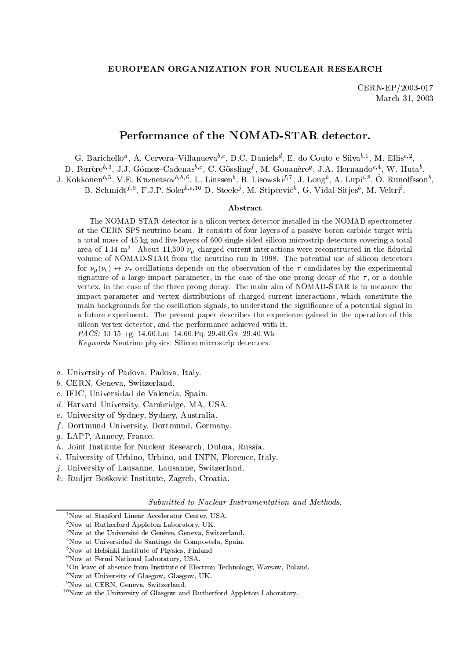### EUROPEAN ORGANIZATION FOR NUCLEAR RESEARCH

CERN-EP/2003-017 March 31, 2003

## Performance of the NOMAD-STAR detector.

G. Darichello<sup>-</sup>, A. Cervera-Villanueva<sup>-, S.</sup>, D.C. Daniels<sup>-</sup>, E. do Couto e Silva<sup>-, -</sup>, M. Ellis<sup>-, -</sup>,

D. Ferrere<sup>31</sup>, J.J. Gomez-Cadenas<sup>31</sup>, C. Gossling<sup>7</sup>, M. Gouanere<sup>9</sup>, J.A. Hernando<sup>32</sup>, W. Huta ,

J. NOKKONEN<sup>57</sup>, V.E. Nuznetsov<sup>5757</sup>, L. Linssen , B. Lisowski<sup>77</sup>, J. Long , A. Lupi<sup>17</sup>, O. Runoifsson ,

 $B$ . Schmidt $\mathcal{V}^{\mathcal{P}}$ , F.J.P. Soler $\mathcal{V}^{\mathcal{P}}$  D. Steele $\mathcal{P}$ , M. Supcevic , G. Vidal-Sitjes , M. Veltri .

### Abstract

The NOMAD-STAR detector is a silicon vertex detector installed in the NOMAD spectrometer at the CERN SPS neutrino beam. It consists of four layers of a passive boron carbide target with a total mass of 45 kg and five layers of 600 single sided silicon microstrip detectors covering a total area of 1.14 m  $\,$  . About 11,500  $\nu_{\mu}$  charged current interactions were reconstructed in the nuuclal volume of NOMAD-STAR from the neutrino run in 1998. The potential use of silicon detectors for  $\nu_{\mu}(\nu_{e}) \leftrightarrow \nu_{\tau}$  oscillations depends on the observation of the  $\tau$  candidates by the experimental signature of a large impact parameter, in the case of the one prong decay of the  $\tau$ , or a double vertex, in the case of the three prong decay. The main aim of NOMAD-STAR is to measure the impact parameter and vertex distributions of charged current interactions, which constitute the main backgrounds for the oscillation signals, to understand the signicance of a potential signal in a future experiment. The present paper describes the experience gained in the operation of this silicon vertex detector, and the performance achieved with it. PACS: 13.15.+g; 14.60.Lm; 14.60.Pq; 29.40.Gx; 29.40.Wk

Keywords Neutrino physics; Silicon microstrip detectors.

- a. University of Padova, Padova, Italy.
- b. CERN, Geneva, Switzerland.
- c. IFIC, Universidad de Valencia, Spain.
- d. Harvard University, Cambridge, MA, USA.
- e. University of Sydney, Sydney, Australia.
- $f$  . Doctor music University, Dortmund, Germany.
- g. LAPP, Annecy, France.
- h. Joint Institute for Nuclear Research, Dubna, Russia.
- i. University of Urbino, Urbino, and INFN, Florence, Italy.
- j. University of Lausanne, Lausanne, Switzerland.
- k. Rudjer Boskovic Institute, Zagreb, Croatia.

Submitted to Nuclear Instrumentation and Methods.

<sup>&</sup>lt;sup>1</sup>Now at Stanford Linear Accelerator Center, USA.

 $2$ Now at Rutherford Appleton Laboratory, UK.

<sup>&</sup>lt;sup>3</sup>Now at the Université de Genève, Geneva, Switzerland.

<sup>4</sup>Now at Universidad de Santiago de Compostela, Spain.

<sup>&</sup>lt;sup>5</sup>Now at Helsinki Institute of Physics, Finland

<sup>&</sup>lt;sup>6</sup>Now at Fermi National Laboratory, USA.

 $7$ On leave of absence from Institute of Electron Technology, Warsaw, Poland.

<sup>8</sup>Now at University of Glasgow, Glasgow, UK.

<sup>&</sup>lt;sup>9</sup>Now at CERN, Geneva, Switzerland.

 $10$ Now at the University of Glasgow and Rutherford Appleton Laboratory.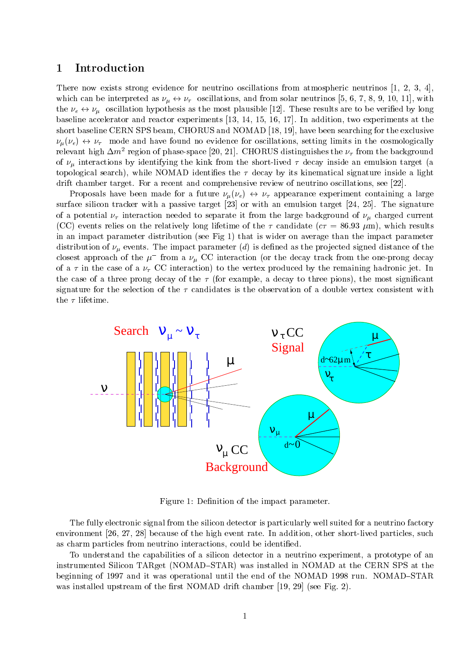## 1 Introduction

There now exists strong evidence for neutrino oscillations from atmospheric neutrinos  $[1, 2, 3, 4]$ , which can be interpreted as  $\mu$  ,  $\tau$  , and from solar neutrinos from solar neutrinos [5, 8, 8, 9, 10, 11], with  $\tau$ the estimate experiment in the most assumed the most plant plant in the most control of the most plant of the mos baseline accelerator and reactor experiments [13, 14, 15, 16, 17]. In addition, two experiments at the short baseline CERN SPS beam, CHORUS and NOMAD [18, 19], have been searching for the exclusive (e)  $\mu$  , and the model notice for the cosmological cosmologically setting limits in the cosmologically  $\mu$ relevant high  $\Delta m$ - region of phase-space [20, 21]. CHORUS distinguishes the  $\nu_{\tau}$  from the background of interactions by identifying the kink from the short-lived decay inside an emulsion target (a topological search), while NOMAD identifies the  $\tau$  decay by its kinematical signature inside a light drift chamber target. For a recent and comprehensive review of neutrino oscillations, see [22].

 $\sim$  Proposals have been made for a function (e)  $\sim$  (e)  $\sim$  (e)  $\sim$  appearance experiment containing a large  $\sim$ surface silicon tracker with a passive target [23] or with an emulsion target [24, 25]. The signature of a potential interaction needed to separate it from the large background of charged current (CC) events relies on the relatively long lifetime of the  $\tau$  candidate ( $c\tau = 86.93 \mu m$ ), which results in an impact parameter distribution (see Fig 1) that is wider on average than the impact parameter distribution of a stribution of the impact parameter (d) is determined as the projection of the impact of the i closest approach of the  $\mu$  -from a  $\nu_{\mu}$  CC interaction (or the decay track from the one-prong decay of a in the case of a CC interaction) to the vertex produced by the remaining hadronic jet. In the case of a three prong decay of the  $\tau$  (for example, a decay to three pions), the most significant signature for the selection of the  $\tau$  candidates is the observation of a double vertex consistent with the  $\tau$  lifetime.



Figure 1: Definition of the impact parameter.

The fully electronic signal from the silicon detector is particularly well suited for a neutrino factory environment [26, 27, 28] because of the high event rate. In addition, other short-lived particles, such as charm particles from neutrino interactions, could be identified.

To understand the capabilities of a silicon detector in a neutrino experiment, a prototype of an instrumented Silicon TARget (NOMAD-STAR) was installed in NOMAD at the CERN SPS at the beginning of 1997 and it was operational until the end of the NOMAD 1998 run. NOMAD-STAR was installed upstream of the first NOMAD drift chamber  $[19, 29]$  (see Fig. 2).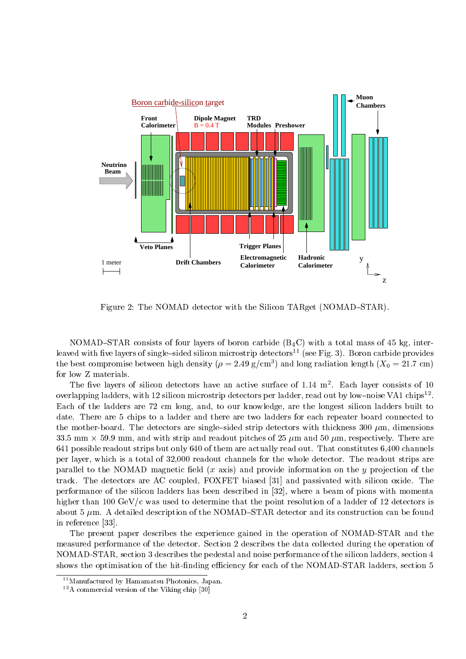

Figure 2: The NOMAD detector with the Silicon TARget (NOMAD–STAR).

NOMAD-STAR consists of four layers of boron carbide  $(B_4C)$  with a total mass of 45 kg, interleaved with five layers of single-sided silicon microstrip detectors<sup>11</sup> (see Fig. 3). Boron carbide provides the best compromise between  $\rm nign$  density (  $\rho =$  2.49 g/cm $^{\circ}$  ) and long radiation length (  $\rm A_0 =$  21.7 cm) for low Z materials.

The ve layers of silicon detectors have an active surface of 1.14 m2 . Each layer consists of 10 overlapping ladders, with 12 silicon microstrip detectors per ladder, read out by low-noise VA1 chips - . Each of the ladders are 72 cm long, and, to our knowledge, are the longest silicon ladders built to date. There are 5 chips to a ladder and there are two ladders for each repeater board connected to the mother-board. The detectors are single-sided strip detectors with thickness  $300 \mu m$ , dimensions 33.5 mm - 59.9mm, and with strip and readout pitches of 25 m and 50 m, respectively. There are 641 possible readout strips but only 640 of them are actually read out. That constitutes 6,400 channels per layer, which is a total of 32,000 readout channels for the whole detector. The readout strips are parallel to the NOMAD magnetic field  $(x \text{ axis})$  and provide information on the  $y$  projection of the track. The detectors are AC coupled, FOXFET biased [31] and passivated with silicon oxide. The performance of the silicon ladders has been described in [32], where a beam of pions with momenta higher than 100 GeV/c was used to determine that the point resolution of a ladder of 12 detectors is about 5  $\mu$ m. A detailed description of the NOMAD-STAR detector and its construction can be found in reference [33].

The present paper describes the experience gained in the operation of NOMAD-STAR and the measured performance of the detector. Section 2 describes the data collected during the operation of NOMAD-STAR, section 3 describes the pedestal and noise performance of the silicon ladders, section 4 shows the optimisation of the hit-finding efficiency for each of the NOMAD-STAR ladders, section 5

<sup>&</sup>lt;sup>11</sup>Manufactured by Hamamatsu Photonics, Japan.

<sup>12</sup>A commercial version of the Viking chip [30]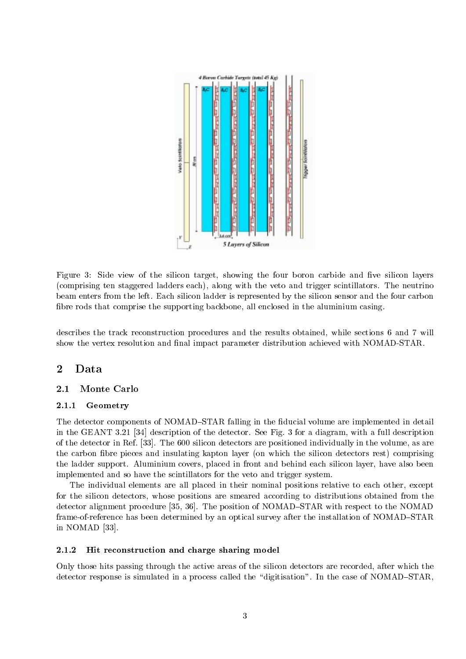

Figure 3: Side view of the silicon target, showing the four boron carbide and five silicon layers (comprising ten staggered ladders each), along with the veto and trigger scintillators. The neutrino beam enters from the left. Each silicon ladder is represented by the silicon sensor and the four carbon bre rods that comprise the supporting backbone, all enclosed in the aluminium casing.

describes the track reconstruction procedures and the results obtained, while sections 6 and 7 will show the vertex resolution and final impact parameter distribution achieved with NOMAD-STAR.

### $\overline{2}$ Data

### 2.1Monte Carlo

## 2.1.1 Geometry

The detector components of NOMAD-STAR falling in the fiducial volume are implemented in detail in the GEANT 3.21 [34] description of the detector. See Fig. 3 for a diagram, with a full description of the detector in Ref. [33]. The 600 silicon detectors are positioned individually in the volume, as are the carbon fibre pieces and insulating kapton layer (on which the silicon detectors rest) comprising the ladder support. Aluminium covers, placed in front and behind each silicon layer, have also been implemented and so have the scintillators for the veto and trigger system.

The individual elements are all placed in their nominal positions relative to each other, except for the silicon detectors, whose positions are smeared according to distributions obtained from the detector alignment procedure [35, 36]. The position of NOMAD–STAR with respect to the NOMAD frame-of-reference has been determined by an optical survey after the installation of NOMAD-STAR in NOMAD [33].

## 2.1.2 Hit reconstruction and charge sharing model

Only those hits passing through the active areas of the silicon detectors are recorded, after which the detector response is simulated in a process called the "digitisation". In the case of NOMAD-STAR,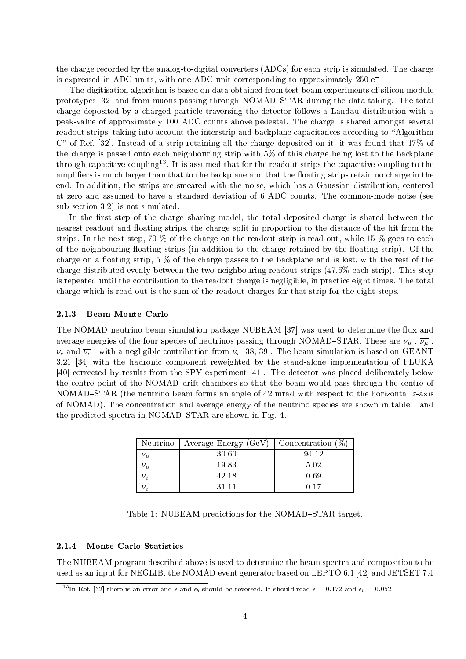the charge recorded by the analog-to-digital converters (ADCs) for each strip is simulated. The charge is expressed in ADC units, with one ADC unit corresponding to approximately 250 e .

The digitisation algorithm is based on data obtained from test-beam experiments of silicon module prototypes [32] and from muons passing through NOMAD-STAR during the data-taking. The total charge deposited by a charged particle traversing the detector follows a Landau distribution with a peak-value of approximately 100 ADC counts above pedestal. The charge is shared amongst several readout strips, taking into account the interstrip and backplane capacitances according to "Algorithm C" of Ref. [32]. Instead of a strip retaining all the charge deposited on it, it was found that 17% of the charge is passed onto each neighbouring strip with 5% of this charge being lost to the backplane  $t$  infough capacitive coupling  $\cdot$  . It is assumed that for the readout strips the capacitive coupling to the amplifiers is much larger than that to the backplane and that the floating strips retain no charge in the end. In addition, the strips are smeared with the noise, which has a Gaussian distribution, centered at zero and assumed to have a standard deviation of 6 ADC counts. The common-mode noise (see sub-section 3.2) is not simulated.

In the first step of the charge sharing model, the total deposited charge is shared between the nearest readout and floating strips, the charge split in proportion to the distance of the hit from the strips. In the next step, 70 % of the charge on the readout strip is read out, while 15 % goes to each of the neighbouring floating strips (in addition to the charge retained by the floating strip). Of the charge on a floating strip,  $5\%$  of the charge passes to the backplane and is lost, with the rest of the charge distributed evenly between the two neighbouring readout strips (47.5% each strip). This step is repeated until the contribution to the readout charge is negligible, in practice eight times. The total charge which is read out is the sum of the readout charges for that strip for the eight steps.

### 2.1.3 **Beam Monte Carlo**

The NOMAD neutrino beam simulation package NUBEAM [37] was used to determine the flux and average energies of the four species of neutrinos passing through NOMAD STAR . These are in the stars of  $\mu$  ,  $\mu$  , e and e , with a negligible contribution from [38, 39]. The beam simulation is based on GEANT 3.21 [34] with the hadronic component reweighted by the stand-alone implementation of FLUKA [40] corrected by results from the SPY experiment [41]. The detector was placed deliberately below the centre point of the NOMAD drift chambers so that the beam would pass through the centre of NOMAD-STAR (the neutrino beam forms an angle of 42 mrad with respect to the horizontal z-axis of NOMAD). The concentration and average energy of the neutrino species are shown in table 1 and the predicted spectra in NOMAD-STAR are shown in Fig. 4.

| Neutrino | Average Energy (GeV) | Concentration $(\%)$ |
|----------|----------------------|----------------------|
|          | 30.60                | 94.12                |
|          | 19.83                | 5.02                 |
|          | 42.18                | 0.69                 |
|          | 31 11                |                      |

Table 1: NUBEAM predictions for the NOMAD-STAR target.

### $2.1.4$ Monte Carlo Statistics

The NUBEAM program described above is used to determine the beam spectra and composition to be used as an input for NEGLIB, the NOMAD event generator based on LEPTO 6.1 [42] and JETSET 7.4

<sup>&</sup>lt;sup>13</sup>In Ref. [32] there is an error and  $\epsilon$  and  $\epsilon_b$  should be reversed. It should read  $\epsilon = 0.172$  and  $\epsilon_b = 0.052$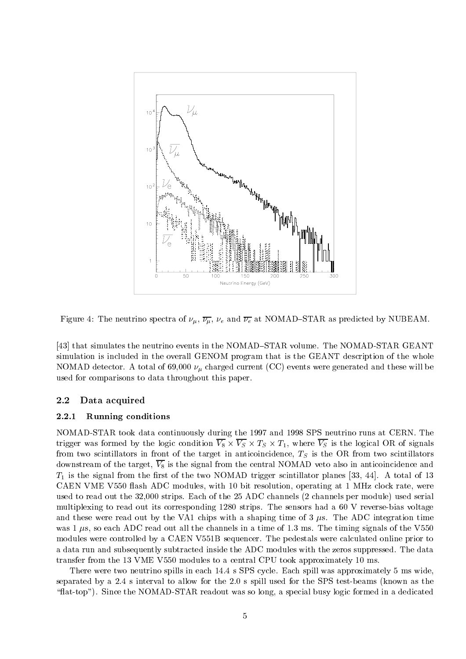

Figure 4: The neutrino spectra of , , e and e at NOMAD{STAR as predicted by NUBEAM.

[43] that simulates the neutrino events in the NOMAD-STAR volume. The NOMAD-STAR GEANT simulation is included in the overall GENOM program that is the GEANT description of the whole  $\alpha$  . A total of  $\alpha$  of  $\alpha$  of  $\alpha$  of  $\alpha$  of  $\alpha$  and the current  $\alpha$  of  $\alpha$  . These will be will be with  $\alpha$  or  $\alpha$ used for comparisons to data throughout this paper.

### 2.2Data acquired

## 2.2.1 Running conditions

NOMAD-STAR took data continuously during the 1997 and 1998 SPS neutrino runs at CERN. The the logic was formed by the logic condition V8 - V8 - List where V8 - The logical OR of signals was completed from two scintillators in front of the target in anticolemental  $\gamma$  is the ORV in anticolement in  $\gamma$ downstream of the target,  $\overline{V_8}$  is the signal from the central NOMAD veto also in anticoincidence and  $T_1$  is the signal from the first of the two NOMAD trigger scintillator planes [33, 44]. A total of 13 CAEN VME V550 flash ADC modules, with 10 bit resolution, operating at 1 MHz clock rate, were used to read out the 32,000 strips. Each of the 25 ADC channels (2 channels per module) used serial multiplexing to read out its corresponding 1280 strips. The sensors had a 60 V reverse-bias voltage and these were read out by the VA1 chips with a shaping time of 3  $\mu$ s. The ADC integration time was 1  $\mu$ s, so each ADC read out all the channels in a time of 1.3 ms. The timing signals of the V550 modules were controlled by a CAEN V551B sequencer. The pedestals were calculated online prior to a data run and subsequently subtracted inside the ADC modules with the zeros suppressed. The data transfer from the 13 VME V550 modules to a central CPU took approximately 10 ms.

There were two neutrino spills in each 14.4 s SPS cycle. Each spill was approximately 5 ms wide, separated by a 2.4 sinterval to allow for the 2.0 s spill used for the SPS test-beams (known as the "flat-top"). Since the NOMAD-STAR readout was so long, a special busy logic formed in a dedicated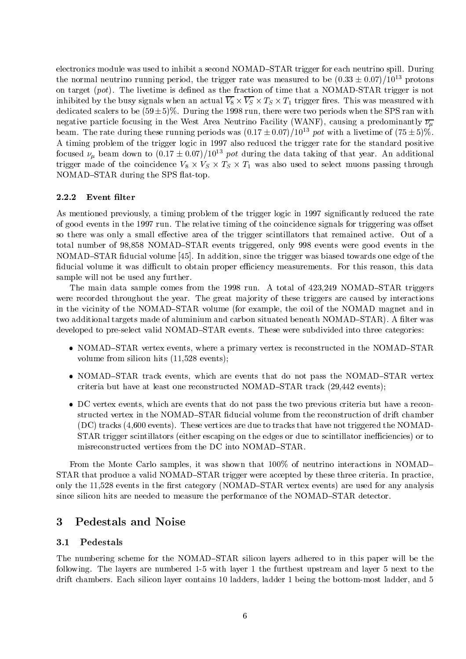electronics module was used to inhibit a second NOMAD-STAR trigger for each neutrino spill. During the normal neutrino running period, the trigger rate was measured to be  $(0.33 \pm 0.07)/10^{13}$  protons on target  $(pot)$ . The livetime is defined as the fraction of time that a NOMAD-STAR trigger is not  $\cdots$  . This is a complete when an actual V8  $\cdots$  V8  $\cdots$  = 1  $\cdots$  . This was measured with dedicated scalers to be  $(59\pm5)\%$ . During the 1998 run, there were two periods when the SPS ran with negative particle focusing in the West Area Neutrino Facility (WANF), causing a predominantly  $\overline{\nu_{\mu}}$ beam. The rate during these running periods was  $(0.17 \pm 0.07)/10^{13}$  pot with a livetime of  $(75 \pm 5)\%$ . A timing problem of the trigger logic in 1997 also reduced the trigger rate for the standard positive focused  $\nu_{\mu}$  beam down to (0.17  $\pm$  0.07)/ 10<sup>-5</sup> pot during the data taking of that year. An additional trigger made of the components  $\{0, \ldots, 0\}$  ,  $\equiv 0$  , also used the select muons passing parameter  $\Theta$  , and we have NOMAD-STAR during the SPS flat-top.

### 2.2.2 Event filter

As mentioned previously, a timing problem of the trigger logic in 1997 significantly reduced the rate of good events in the 1997 run. The relative timing of the coincidence signals for triggering was offset so there was only a small effective area of the trigger scintillators that remained active. Out of a total number of 98,858 NOMAD-STAR events triggered, only 998 events were good events in the NOMAD-STAR fiducial volume [45]. In addition, since the trigger was biased towards one edge of the fiducial volume it was difficult to obtain proper efficiency measurements. For this reason, this data sample will not be used any further.

The main data sample comes from the 1998 run. A total of  $423.249$  NOMAD-STAR triggers were recorded throughout the year. The great majority of these triggers are caused by interactions in the vicinity of the NOMAD-STAR volume (for example, the coil of the NOMAD magnet and in two additional targets made of aluminium and carbon situated beneath NOMAD-STAR). A filter was developed to pre-select valid NOMAD-STAR events. These were subdivided into three categories:

- NOMAD-STAR vertex events, where a primary vertex is reconstructed in the NOMAD-STAR volume from silicon hits (11,528 events);
- NOMAD-STAR track events, which are events that do not pass the NOMAD-STAR vertex criteria but have at least one reconstructed NOMAD-STAR track  $(29,442 \text{ events});$
- DC vertex events, which are events that do not pass the two previous criteria but have a reconstructed vertex in the NOMAD-STAR fiducial volume from the reconstruction of drift chamber (DC) tracks (4,600 events). These vertices are due to tracks that have not triggered the NOMAD-STAR trigger scintillators (either escaping on the edges or due to scintillator inefficiencies) or to misreconstructed vertices from the DC into NOMAD-STAR.

From the Monte Carlo samples, it was shown that  $100\%$  of neutrino interactions in NOMAD STAR that produce a valid NOMAD-STAR trigger were accepted by these three criteria. In practice, only the 11,528 events in the first category (NOMAD–STAR vertex events) are used for any analysis since silicon hits are needed to measure the performance of the NOMAD-STAR detector.

## 3 Pedestals and Noise

### 3.1Pedestals

The numbering scheme for the NOMAD-STAR silicon layers adhered to in this paper will be the following. The layers are numbered 1-5 with layer 1 the furthest upstream andlayer 5 next to the drift chambers. Each silicon layer contains 10 ladders, ladder 1 being the bottom-most ladder, and 5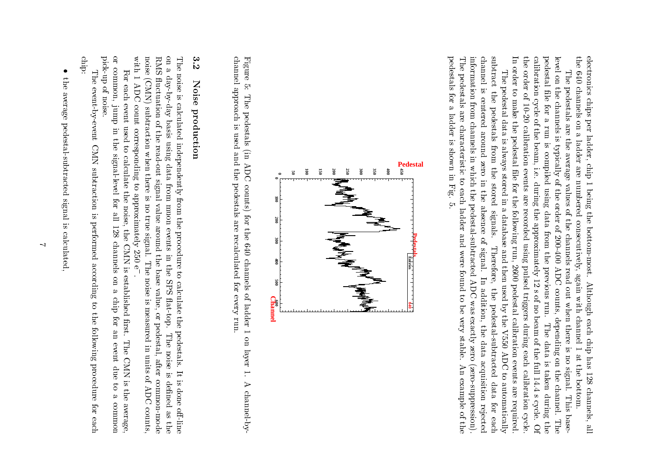electronics chips per ladder, chip 1 being the bottom-most. Although each chip has 128 channels, all the  $640$  channels on a ladder are numbered consecutively, again with channel 1 at the bottom.  $\mathcal{L}_{\mathcal{A}}$  the  $\mathcal{A}_{\mathcal{A}}$  channels are channels as  $\mathcal{L}_{\mathcal{A}}$  channels as  $\mathcal{L}_{\mathcal{A}}$ electronics of the control chips per ona a casar a c ladder, complete and ladder chip are numbered||<br>|-<br>|<br>|<br>| beingthe control consecutively, again with channel bottom-most. Although each chip has 128 channels,|<br>|<br>| e<br>C<br>C<br>C the control bottom.f<br>F

In order to make the pedestal file for the following run, 2600 pedestal calibration events are required the order of 10-20 calibration events are recorded using pulsed triggers during each calibration cycle. calibration cycle of the beam, i.e. during the approximately 12 s of no beam of the full 14.4 s cycle. Of pedestal file for a run is compiled using data from the previous run. The data is taken during the level on the channels is typically of the order of 200-400 ADC counts, depending on the channel. The the order of 10-20calibration complete of the beam, i.e., i.e., i.e., i.e., i.e., i.e., i.e., i.e., i.e., i.e., i.e., i.e., i.e., i.e., i.e., i.e., i.e., i.e., i.e., i.e., i.e., i.e., i.e., i.e., i.e., i.e., i.e., i.e., i.e., i.e., i.e., i. pedestallevel i se The pedestals are the average values of the channels read out when there is no signal. This base-The pedestal data is always stored in a database and then used by the V550 ADC to automatically The pedestal data is always a pedestal data is always a pedestal data is always a pedestal data is always a pe The pedestals are the average are the average are the average are the average are the average are the average are the contract of the average of the contract of the average of the contract of the contract of the contract o onthe contract of the contract of the contract of the contract of the contract of the contract of the contract of the contract of the contract of the contract of the contract of the contract of the contract of the contract o lethe control channels for pedestalss<br>Frans the control calibration eventsrun di k pedestal is is compiled typically from the stored le stored $\ddotsc$  during the approximately for values using are recorded using pulsed triggers during eachthe control in.<br>.<br>. a anala anala anala anala anala anala anala anala anala anala anala anala anala anala anala anala anala anala a of signals. followingdata dan masar data personality of the control of the control of the control of the control of the control of the control of the control of the control of the control of the control of the control of the control of the control of the con the of from channels2<br>200-200-200 Therefore, run, and the previous2<br>26 the contract of the contract of the contract of the contract of the contract of the contract of the contract o .<br>.<br>. read<br>C 1<br>12<br>12<br>12 used pedestal out the counts, s of run..<br>When pedestal-subtractedi<br>China<br>China<br>China<br>China<br>China<br>China<br>China<br>China<br>China<br>China<br>China<br>China<br>China<br>China<br>China<br>China<br>China<br>China<br>China<br>China<br>China<br>China<br>China<br>China<br>China<br>China<br>China<br>China<br>China<br>China<br>China<br>China<br>China<br>China<br>Ch nothe contract of the contract of the contract of the contract of the contract of the contract of the contract of the contract of the contract of the contract of the contract of the contract of the contract of the contract o beamdepending to the control of the control of the control of the control of the control of the control of the control of the control of the control of the control of the control of the control of the control of the control of calibration called a control of a The there.<br>5<br>5<br>5<br>5 of the fulldata dan sebagai kecamatan dan kecamatan dan kecamatan dan dikenali dan dan dikenali dan dikenali dan dikenali is)<br>Co l<br>d .<br>.<br>. events is signal.calibration called the called control. taken di secara di secara di secara di secara di secara di secara di secara di secara di secara di secara di s the contract of the contract of the contract of the contract of the contract of the contract of the contract of the contract of the contract of the contract of the contract of the contract of the contract of the contract o to a utomatically defined as a contract of a second contract of a second contract of a second contract of a second contract of a second contract of a second contract of a second contract of a second contract of a second co |<br>|<br>|<br>| data daerah di sebagai dan kali channel. are scycle.during the control of the control of the control of the control of the control of the control of the control of the control of the control of the control of the control of the control of the control of the control of the c This base required. for cycle. Thethe control of the control of the control of the control of the control of the control of the control of the control of the control of the control of the control of the control of the control of the control of the control Of

pedestals for a ladder is shown in Fig. 5. information from channels in which the pedestal-subtracted ADC was exactly zero (zero-suppression). channel is centered around zero in the absence of signal. In addition, the data acquisition rejected subtract the pedestals from the stored signals. The pedestals are characteristic to each ladder and were found to be very stable. An example of the pedestals for a ladder is shownThe pedestals are characteristicinformation from channelschannel Contractor c<br>Subtraction<br>Contraction In order to make iscentered in the contract of the contract of the contract of the contract of the contract of the contract of the contract of the contract of the contract of the contract of the contract of the contract of the contract of th .<br>.<br>.<br>. in zerowhich which contains the contact of the contact of the contact of the contact of the contact of the contact of the contact of the contact of the contact of the contact of the contact of the contact of the contact of the co in to in Fig.5.each and completed a completed and completed a completed a completed at the completed and completed at the completed at the completed at the completed at the completed at the complete at the complete at the complete at the thethe contract of the contract of the contract of the contract of the contract of the contract of the contract of the contract of the contract of the contract of the contract of the contract of the contract of the contract o pedestal-subtractedabsence and the contract of the contract of the contract of the contract of the contract of the contract of the contract of the contract of the contract of the contract of the contract of the contract of the contract of th ladder and were ofTherefore, the pedestal-subtracted data for each signal. found In)<br>(<br>(<br>( addition, the contract of the contract of the contract of the contract of the contract of the contract of the contract of the contract of the contract of the contract of the contract of the contract of the contract of the to.<br>Was exactly contributed as be very stable. thedata dan kacamatan dan kacamatan dan kacamatan dan kacamatan dan kacamatan dan kacamatan dan kacamatan dan kaca zeroact and the contract of the contract of the contract of the contract of the contract of the contract of the contract of the contract of the contract of the contract of the contract of the contract of the contract of the co  $\ddot{a}$  (zero-suppression). rejectede<br>Feachers (1980)



Figure 5: The pedestals (in ADC counts) for the 640 channels of ladder 1 on layer 1. A channel-bychannel approach is used and the pedestals are recalculated for every run. channel and contained a Figures 2011 5: The pedestals (in ADCapproach and contact the contact of the contact of the contact of the contact of the contact of the contact of the contact of the contact of the contact of the contact of the contact of the contact of the contact of the co is usedand and and a the control of the control of the control of the control of the control of the control of the control of the control of the control of the control of the control of the control of the control of the control of the control pedestalscounts) is a country of the country of the country of the country of the country of the country of the country of the country of the country of the country of the country of the country of the country of the country of the for the arerecalculated at the contract of the contract of the contract of the contract of the contract of the contract of the contract of the contract of the contract of the contract of the contract of the contract of the contract o  $\ddot{\phantom{a}}$ channels in the contract of the contract of the contract of the contract of the contract of the contract of the contract of the contract of the contract of the contract of the contract of the contract of the contract of th for 2011<br>for 2011 of every ladder 1 run. on layer|<br>|<br>| Achannel-by-channel-by-channel-by-channel-by-channel-by-channel-by-channel-by-channel-by-channel-by-channel-by-

# 3.2 3.2Noise production Noiseproduction

RMS fluctuation of the read-out signal value around the base value, or pedestal, after common-mode on a day-by-day basis using data from muon events in the SPS flat-top. The noise is defined as the The noise is calculated independently from the procedure to calculate the pedestals. It is done off-line with 1 ADC count corresponding to approximately  $250 e^{-}$ noise (CMN) subtraction when there is no true signal. The noise is measured in units of ADC counts, with  $1.2\pm 0.00$  and  $1.2\pm 0.00$  and  $1.2\pm 0.00$ noise (CMN) subtraction when there is no true signal.RMS 
uctuation of the read-out signal valueonThe noise is calculated independentlyes and the control of the control of the control of the control of the control of the control of the control of the control of the control of the control of the control of the control of the control of the control of the c day<br> basis corresponding using data to fromapproximately and contained in the contact of the contact of the contact of the contact of the contact of the contact of the contact of the contact of the contact of the contact of the contact of the contact of the contact from the contract of the contract of the contract of the contract of the contract of the contract of the contract of the contract of the contract of the contract of the contract of the contract of the contract of the contr musika en Kanada (Kanada ya Kanada ya Kanada ya Kanada ya Kanada ya Kanada ya Kanada ya Kanada ya Kanada ya Ka the procedure of the procedure of the procedure of the procedure of the procedure of the procedure of the procedure of the procedure of the procedure of the procedure of the procedure of the procedure of the procedure of t around events2<br>250<br>2 the control of the control of the control of the control of the control of the control of the control of the control of the control of the control of the control of the control of the control of the control of the control in the The noise is measured in units of ADC counts,e<br>.<br>. baseto the contract of the contract of the contract of the contract of the contract of the contract of the contract of the contract of the contract of the contract of the contract of the contract of the contract of the contrac . SPScalculate the contract of the contract of the contract of the contract of the contract of the contract of the contract of the contract of the contract of the contract of the contract of the contract of the contract of the value, at-top. or the pedestal,pedast of the contract of the contract of the contract of the contract of the contract of the contract of the contract of the contract of the contract of the contract of the contract of the contract of the contract of the The noisefter over It is done o-line is dened common-modeastheway<br>C

or common, jump in the signal-level for all 128 channels on a chip for an event due to a common pick-up of noise. pick-upor common,For each event used to calculate the noise, the CMN is established first. The CMN is the average, For each event used to calculate the noise, the CMN of noise. jumpinternet control the signal-level forf<br>i |<br>|<br>| channels is established ons<br>and the contribution chip chip chi for rst.r<br>C The CMN is the average, the average, the average, the average, the average, the average, the average, the average, the average, the average, the average, the average, the average, the average, the average, the average, the event due toc<br>and contributed communication is a continued of the continued of the continued of the continued of the continued of the continued of the continued of the continued of the continued of the continued of the continued of the continued of the

chip: chip:The event-by-event CMN subtraction is performed according to the following procedure for each The event-by-eventC<br>P<br>P<br>P<br>P<br>P<br>P<br>P<br>P<br>P<br><br><br><br><br><br><br><br><br><br><br><br> subtraction is performed according tothe contract of the contract of the contract of the contract of the contract of the contract of the contract of the contract of the contract of the contract of the contract of the contract of the contract of the contract o following procedure fore<br>Februari

 $\bullet$ l the average pedestal-subtracted signal is calculated. the averagepedestal-subtracted signal is calculated,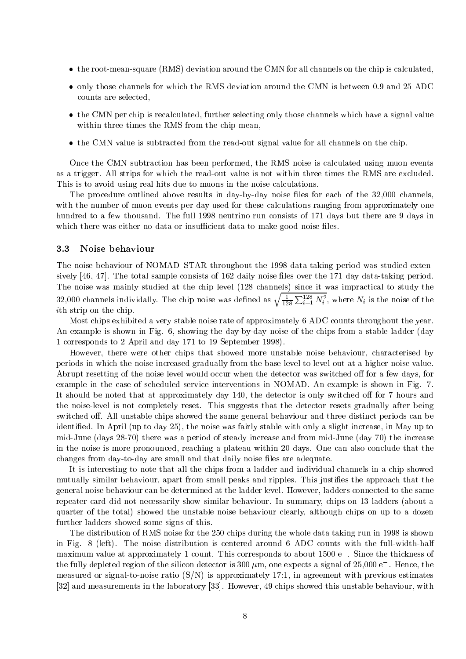- the root-mean-square (RMS) deviation around the CMN for all channels on the chip is calculated,
- only those channels for which the RMS deviation around the CMN is between 0.9 and 25 ADC counts are selected,
- the CMN per chip is recalculated, further selecting only those channels which have a signal value within three times the RMS from the chip mean,
- the CMN value is subtracted from the read-out signal value for all channels on the chip.

Once the CMN subtraction has been performed, the RMS noise is calculated using muon events as a trigger. All strips for which the read-out value is not within three times the RMS are excluded. This is to avoid using real hits due to muons in the noise calculations.

The procedure outlined above results in day-by-day noise files for each of the 32,000 channels, with the number of muon events per day used for these calculations ranging from approximately one hundred to a few thousand. The full 1998 neutrino run consists of 171 days but there are 9 days in which there was either no data or insufficient data to make good noise files.

#### 3.3Noise behaviour

The noise behaviour of NOMAD-STAR throughout the 1998 data-taking period was studied extensively  $[46, 47]$ . The total sample consists of 162 daily noise files over the 171 day data-taking period. The noise was mainly studied at the chip level (128 channels) since it was impractical to study the 32,000 channels individally. The chip noise was defined as  $\sqrt{\frac{1}{128} \sum_{i=1}^{128} N_i^2}$ , where  $N_i$  is the noise of the ith strip on the chip.

Most chips exhibited a very stable noise rate of approximately 6 ADC counts throughout the year. An example is shown in Fig. 6, showing the day-by-day noise of the chips from a stable ladder (day 1 corresponds to 2 April and day 171 to 19 September 1998).

However, there were other chips that showed more unstable noise behaviour, characterised by periods in which the noise increased gradually from the base-level to level-out at a higher noise value. Abrupt resetting of the noise level would occur when the detector was switched off for a few days, for example in the case of scheduled service interventions in NOMAD. An example is shown in Fig.7. It should be noted that at approximately day 140, the detector is only switched off for 7 hours and the noise-level is not completely reset. This suggests that the detector resets gradually after being switched off. All unstable chips showed the same general behaviour and three distinct periods can be identied. In April (up to day 25), the noise was fairly stable with only a slight increase, in May up to mid-June (days 28-70) there was a period of steady increase and from mid-June (day 70) the increase in the noise is more pronounced, reaching a plateau within 20 days. One can also conclude that the changes from day-to-day are small and that daily noise files are adequate.

It is interesting to note that all the chips from a ladder and individual channels in a chip showed mutually similar behaviour, apart from small peaks and ripples. This justifies the approach that the general noise behaviour can be determined at the ladder level. However, ladders connected to the same repeater card did not necessarily show similar behaviour. In summary, chips on 13 ladders (about a quarter of the total) showed the unstable noise behaviour clearly, although chips on up to a dozen further ladders showed some signs of this.

The distribution of RMS noise for the 250 chips during the whole data taking run in 1998 is shown in Fig.8 (left). The noise distribution is centered around 6 ADC counts with the full-width-half maximum value at approximately 1 count. This corresponds to about 1500 e . Since the thickness of the fully depleted region of the shicon detector is 300  $\mu$ m, one expects a signal of 25,000 e  $\,$  . Hence, the measured or signal-to-noise ratio  $(S/N)$  is approximately 17:1, in agreement with previous estimates [32] and measurements in the laboratory [33]. However, 49 chips showed this unstable behaviour, with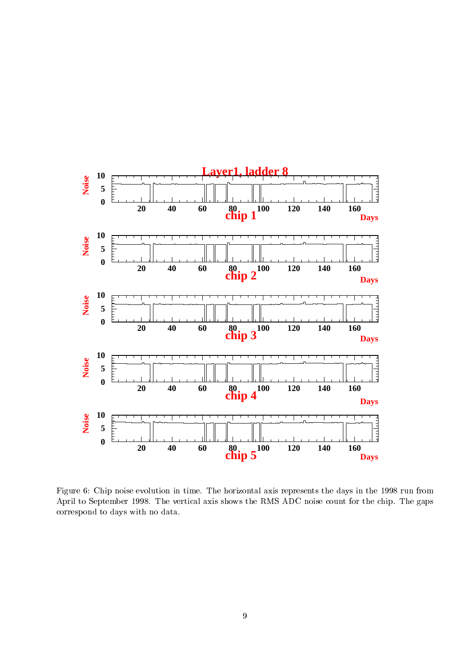

Figure 6: Chip noise evolution in time. The horizontal axis represents the days in the 1998 run from April to September 1998. The vertical axis shows the RMS ADC noise count for the chip. The gaps correspond to days with no data.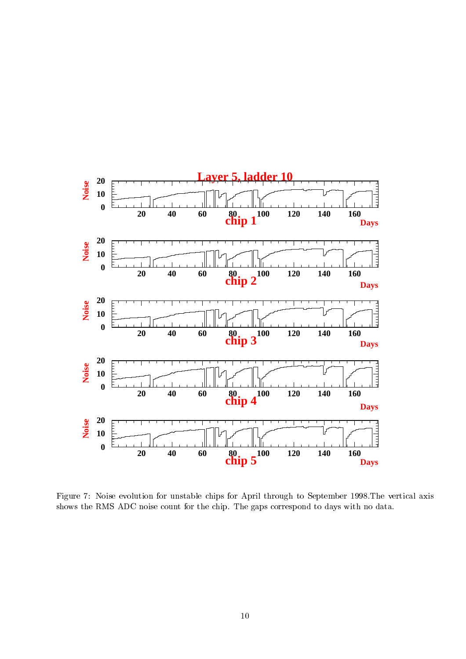

Figure 7: Noise evolution for unstable chips for April through to September 1998. The vertical axis shows the RMS ADC noise count for the chip. The gaps correspond to days with no data.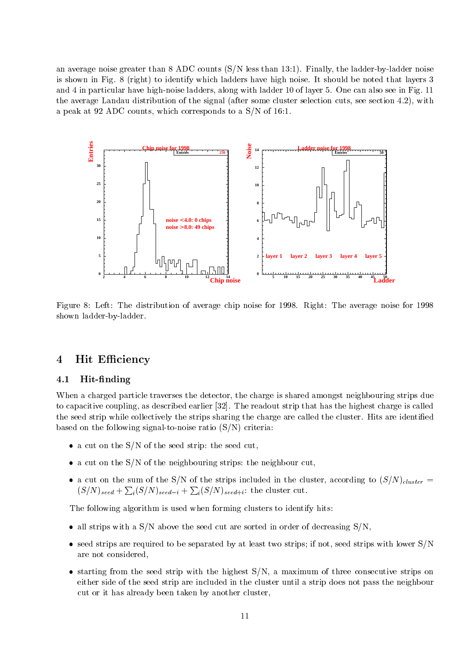an average noise greater than 8 ADC counts (S/N less than 13:1). Finally, the ladder-by-ladder noise is shown in Fig. 8 (right) to identify which ladders have high noise. It should be noted that layers 3 and 4 in particular have high-noise ladders, along with ladder 10 of layer 5. One can also see in Fig. 11 the average Landau distribution of the signal (after some cluster selection cuts, see section 4.2), with a peak at 92 ADC counts, which corresponds to a S/N of 16:1.



Figure 8:Left: The distribution of average chip noise for 1998. Right: The average noise for 1998 shown ladder-by-ladder.

## 4 Hit Efficiency

### 4.1Hit-finding

When a charged particle traverses the detector, the charge is shared amongst neighbouring strips due to capacitive coupling, as described earlier [32]. The readout strip that has the highest charge is called the seed strip while collectively the strips sharing the charge are called the cluster. Hits are identied based on the following signal-to-noise ratio  $(S/N)$  criteria:

- a cut on the  $S/N$  of the seed strip: the seed cut,
- $\bullet$  a cut on the S/N of the neighbouring strips: the neighbour cut,
- a cut on the sum of the  $S/2$ . Since strips included in the cluster, according to  $(S/2)$  ( $S/2$ )  $R/2$  $(S/N)_{seed} + \sum_i (S/N)_{seed-i} + \sum_i (S/N)_{seed+i}$ ; the cluster cut.

The following algorithm is used when forming clusters to identify hits:

- all strips with a  $S/N$  above the seed cut are sorted in order of decreasing  $S/N$ ,
- $\bullet$  seed strips are required to be separated by at least two strips; if not, seed strips with lower  $S/N$ are not considered,
- $\bullet$  starting from the seed strip with the highest  $S/N$ , a maximum of three consecutive strips on either side of the seed strip are included in the cluster until a strip does not pass the neighbour cut or it has already been taken by another cluster,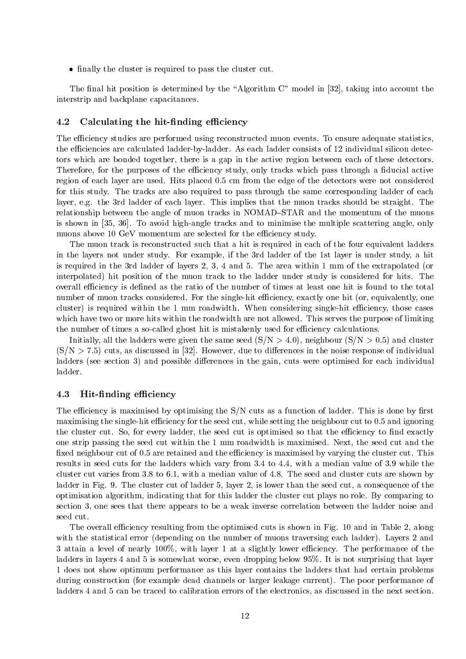• finally the cluster is required to pass the cluster cut.

The final hit position is determined by the "Algorithm  $C$ " model in [32], taking into account the interstrip and backplane capacitances.

### 4.2Calculating the hit-finding efficiency

The efficiency studies are performed using reconstructed muon events. To ensure adequate statistics, the efficiencies are calculated ladder-by-ladder. As each ladder consists of 12 individual silicon detectors which are bonded together, there is a gap in the active region between each of these detectors. Therefore, for the purposes of the efficiency study, only tracks which pass through a fiducial active region of each layer are used. Hits placed 0.5 cm from the edge of the detectors were not considered for this study. The tracks are also required to pass through the same corresponding ladder of each layer, e.g. the 3rd ladder of each layer. This implies that the muon tracks should be straight. The relationship between the angle of muon tracks in NOMAD-STAR and the momentum of the muons is shown in [35, 36]. To avoid high-angle tracks and to minimise the multiple scattering angle, only muons above 10 GeV momentum are selected for the efficiency study.

The muon track is reconstructed such that a hit is required in each of the four equivalent ladders in the layers not under study. For example, if the 3rd ladder of the 1st layer is under study, a hit is required in the 3rd ladder of layers 2, 3, 4 and 5. The area within 1 mm of the extrapolated (or interpolated) hit position of the muon track to the ladder under study is considered for hits. The overall efficiency is defined as the ratio of the number of times at least one hit is found to the total number of muon tracks considered. For the single-hit efficiency, exactly one hit (or, equivalently, one cluster) is required within the 1 mm roadwidth. When considering single-hit efficiency, those cases which have two or more hits within the roadwidth are not allowed. This serves the purpose of limiting the number of times a so-called ghost hit is mistakenly used for efficiency calculations.

Initially, all the ladders were given the same seed  $(S/N > 4.0)$ , neighbour  $(S/N > 0.5)$  and cluster  $(S/N > 7.5)$  cuts, as discussed in [32]. However, due to differences in the noise response of individual ladders (see section 3) and possible differences in the gain, cuts were optimised for each individual ladder.

### 4.3Hit-finding efficiency

The efficiency is maximised by optimising the  $S/N$  cuts as a function of ladder. This is done by first maximising the single-hit efficiency for the seed cut, while setting the neighbour cut to 0.5 and ignoring the cluster cut. So, for every ladder, the seed cut is optimised so that the efficiency to find exactly one strip passing the seed cut within the 1 mm roadwidth is maximised. Next, the seed cut and the fixed neighbour cut of 0.5 are retained and the efficiency is maximised by varying the cluster cut. This results in seed cuts for the ladders which vary from 3.4 to 4.4, with a median value of 3.9 while the cluster cut varies from 3.8 to 6.1, with a median value of 4.8. The seed and cluster cuts are shown by ladder in Fig. 9. The cluster cut of ladder 5, layer 2, is lower than the seed cut, a consequence of the optimisation algorithm, indicating that for this ladder the cluster cut plays no role. By comparing to section 3, one sees that there appears to be a weak inverse correlation between the ladder noise and seed cut.

The overall efficiency resulting from the optimised cuts is shown in Fig. 10 and in Table 2, along with the statistical error (depending on the number of muons traversing each ladder). Layers 2 and 3 attain a level of nearly 100%, with layer 1 at a slightly lower efficiency. The performance of the ladders in layers 4 and 5 is somewhat worse, even dropping below 95%. It is not surprising that layer 1 does not show optimum performance as this layer contains the ladders that had certain problems during construction (for example dead channels or larger leakage current). The poor performance of ladders 4 and 5 can be traced to calibration errors of the electronics, as discussed in the next section.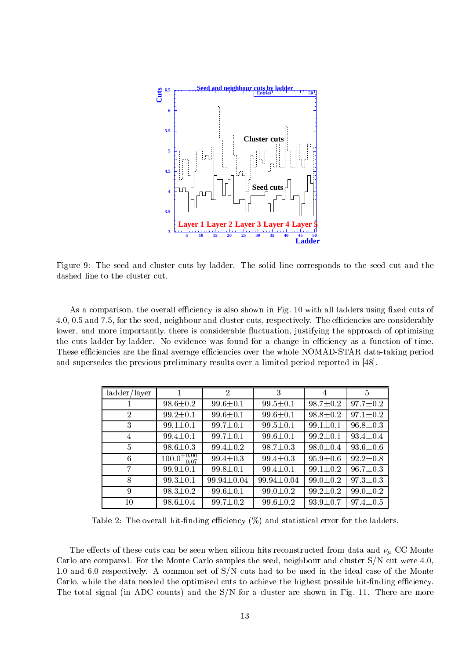

Figure 9: The seed and cluster cuts by ladder. The solid line corresponds to the seed cut and the dashed line to the cluster cut.

As a comparison, the overall efficiency is also shown in Fig. 10 with all ladders using fixed cuts of 4.0, 0.5 and 7.5, for the seed, neighbour and cluster cuts, respectively. The efficiencies are considerably lower, and more importantly, there is considerable fluctuation, justifying the approach of optimising the cuts ladder-by-ladder. No evidence was found for a change in efficiency as a function of time. These efficiencies are the final average efficiencies over the whole NOMAD-STAR data-taking period and supersedes the previous preliminary results over a limited period reported in [48].

| ladder/layer    |                         | $\overline{2}$   | 3                | 4              | $5^{\circ}$    |
|-----------------|-------------------------|------------------|------------------|----------------|----------------|
|                 | $98.6 \pm 0.2$          | $99.6 \pm 0.1$   | $99.5 \pm 0.1$   | $98.7 \pm 0.2$ | $97.7 \pm 0.2$ |
| $\overline{2}$  | $99.2 \pm 0.1$          | $99.6 \pm 0.1$   | $99.6 \pm 0.1$   | $98.8 \pm 0.2$ | $97.1 \pm 0.2$ |
| 3               | $99.1 \pm 0.1$          | $99.7 \pm 0.1$   | $99.5 \pm 0.1$   | $99.1 \pm 0.1$ | $96.8 \pm 0.3$ |
| 4               | $99.4 \pm 0.1$          | $99.7 \pm 0.1$   | $99.6 \pm 0.1$   | $99.2 \pm 0.1$ | $93.4 \pm 0.4$ |
| $\overline{5}$  | $98.6 \pm 0.3$          | $99.4 \pm 0.2$   | $98.7 \pm 0.3$   | $98.0 \pm 0.4$ | $93.6 \pm 0.6$ |
| $6\phantom{.}6$ | $100.0^{+0.00}_{-0.07}$ | $99.4 \pm 0.3$   | $99.4 \pm 0.3$   | $95.9 \pm 0.6$ | $92.2 \pm 0.8$ |
| 7               | $99.9 \pm 0.1$          | $99.8 \pm 0.1$   | $99.4 \pm 0.1$   | $99.1 \pm 0.2$ | $96.7 \pm 0.3$ |
| 8               | $99.3 \pm 0.1$          | $99.94 \pm 0.04$ | $99.94 \pm 0.04$ | $99.0 \pm 0.2$ | $97.3 \pm 0.3$ |
| 9               | $98.3 \pm 0.2$          | $99.6 \pm 0.1$   | $99.0 \pm 0.2$   | $99.2 \pm 0.2$ | $99.0 \pm 0.2$ |
| 10              | $98.6 \pm 0.4$          | $99.7 \pm 0.2$   | $99.6 \pm 0.2$   | $93.9 \pm 0.7$ | $97.4 \pm 0.5$ |

Table 2: The overall hit-finding efficiency  $(\%)$  and statistical error for the ladders.

The extension of these cuts can be seen when when silicon hits reconstruction his reconstructed from data and  $\mu$  with reconstruction Carlo are compared. For the Monte Carlo samples the seed, neighbour and cluster S/N cut were 4.0, 1.0 and 6.0 respectively. A common set of S/N cuts had to be used in the ideal case of the Monte Carlo, while the data needed the optimised cuts to achieve the highest possible hit-finding efficiency. The total signal (in ADC counts) and the S/N for a cluster are shown in Fig.11. There are more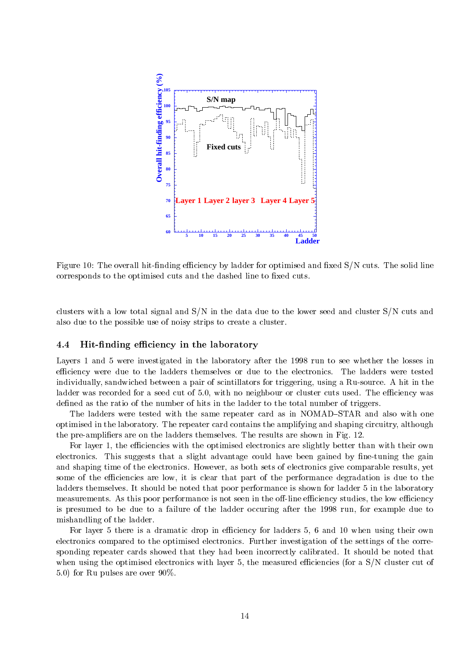

Figure 10: The overall hit-finding efficiency by ladder for optimised and fixed  $S/N$  cuts. The solid line corresponds to the optimised cuts and the dashed line to fixed cuts.

clusters with a low total signal and S/N in the data due to the lower seed and cluster S/N cuts and also due to the possible use of noisy strips to create a cluster.

### 4.4Hit-finding efficiency in the laboratory

Layers 1 and 5 were investigated in the laboratory after the 1998 run to see whether the losses in efficiency were due to the ladders themselves or due to the electronics. The ladders were tested individually, sandwiched between a pair of scintillators for triggering, using a Ru-source. A hit in the ladder was recorded for a seed cut of 5.0, with no neighbour or cluster cuts used. The efficiency was defined as the ratio of the number of hits in the ladder to the total number of triggers.

The ladders were tested with the same repeater card as in NOMAD-STAR and also with one optimised in the laboratory. The repeater card contains the amplifying and shaping circuitry, although the pre-ampliers are on the ladders themselves. The results are shown in Fig. 12.

For layer 1, the efficiencies with the optimised electronics are slightly better than with their own electronics. This suggests that a slight advantage could have been gained by fine-tuning the gain and shaping time of the electronics. However, as both sets of electronics give comparable results, yet some of the efficiencies are low, it is clear that part of the performance degradation is due to the ladders themselves. It should be noted that poor performance is shown for ladder 5 in the laboratory measurements. As this poor performance is not seen in the off-line efficiency studies, the low efficiency is presumed to be due to a failure of the ladder occuring after the 1998 run, for example due to mishandling of the ladder.

For layer 5 there is a dramatic drop in efficiency for ladders 5, 6 and 10 when using their own electronics compared to the optimised electronics. Further investigation of the settings of the corresponding repeater cards showed that they had been incorrectly calibrated. It should be noted that when using the optimised electronics with layer 5, the measured efficiencies (for a S/N cluster cut of 5.0) for Ru pulses are over 90%.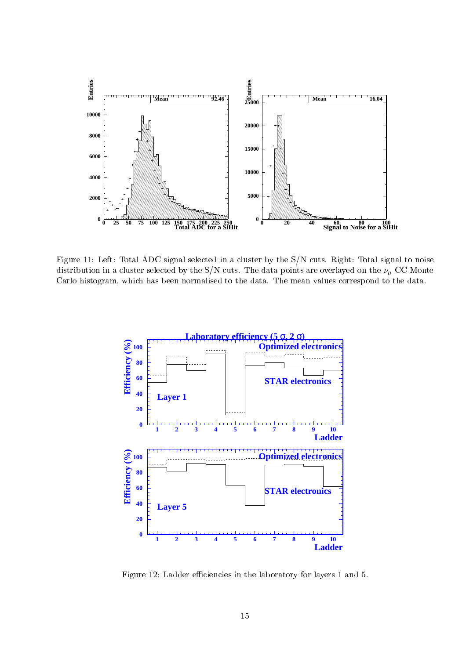

Figure 11: Left: Total ADC signal selected in a cluster by the S/N cuts. Right: Total signal to noise distribution in a cluster selected by the  $\mathcal{O}_I$  , cuts. The data points are overlayed on the  $\mathcal{C}_I$  occurring Carlo histogram, which has been normalised to the data. The mean values correspond to the data.



Figure 12: Ladder efficiencies in the laboratory for layers 1 and 5.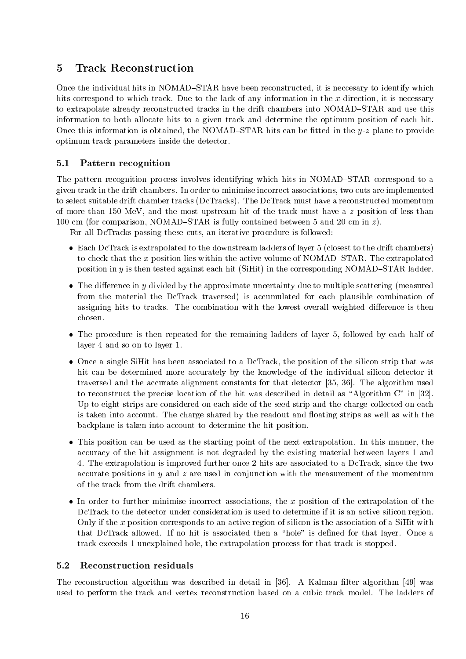### $\overline{5}$ **Track Reconstruction**

Once the individual hits in NOMAD-STAR have been reconstructed, it is neccesary to identify which hits correspond to which track. Due to the lack of any information in the  $x$ -direction, it is necessary to extrapolate already reconstructed tracks in the drift chambers into NOMAD-STAR and use this information to both allocate hits to a given track and determine the optimum position of each hit. Once this information is obtained, the NOMAD-STAR hits can be fitted in the  $y$ -z plane to provide optimum track parameters inside the detector.

### 5.1Pattern recognition

The pattern recognition process involves identifying which hits in NOMAD-STAR correspond to a given track in the drift chambers. In order to minimise incorrect associations, two cuts are implemented to select suitable drift chamber tracks (DcTracks). The DcTrack must have a reconstructed momentum of more than 150 MeV, and the most upstream hit of the track must have a <sup>z</sup> position of less than 100 cm (for comparison, NOMAD-STAR is fully contained between 5 and 20 cm in  $z$ ).

For all DcTracks passing these cuts, an iterative procedure is followed:

- Each DcTrack is extrapolated to the downstream ladders of layer 5 (closest to the drift chambers) to check that the x position lies within the active volume of NOMAD-STAR. The extrapolated position in  $y$  is then tested against each hit (SiHit) in the corresponding NOMAD-STAR ladder.
- $\bullet$  The difference in y divided by the approximate uncertainty due to multiple scattering (measured from the material the DcTrack traversed) is accumulated for each plausible combination of assigning hits to tracks. The combination with the lowest overall weighted difference is then chosen.
- The procedure is then repeated for the remaining ladders of layer 5, followed by each half of layer 4 and so on to layer 1.
- Once a single SiHit has been associated to a DcTrack, the position of the silicon strip that was hit can be determined more accurately by the knowledge of the individual silicon detector it traversed and the accurate alignment constants for that detector [35, 36]. The algorithm used to reconstruct the precise location of the hit was described in detail as \Algorithm C" in [32]. Up to eight strips are considered on each side of the seed strip and the charge collected on each is taken into account. The charge shared by the readout and floating strips as well as with the backplane is taken into account to determine the hit position.
- This position can be used as the starting point of the next extrapolation. In this manner, the accuracy of the hit assignment is not degraded by the existing material between layers 1 and 4. The extrapolation is improved further once 2 hits are associated to a DcTrack, since the two accurate positions in  $y$  and  $z$  are used in conjunction with the measurement of the momentum of the track from the drift chambers.
- $\bullet$  In order to further minimise incorrect associations, the x position of the extrapolation of the DcTrack to the detector under consideration is used to determine if it is an active silicon region. Only if the <sup>x</sup> position corresponds to an active region of silicon is the association of a SiHit with that DcTrack allowed. If no hit is associated then a "hole" is defined for that layer. Once a track exceeds 1 unexplained hole, the extrapolation process for that track is stopped.

## Reconstruction residuals

The reconstruction algorithm was described in detail in  $[36]$ . A Kalman filter algorithm  $[49]$  was used to perform the track and vertex reconstruction based on a cubic track model. The ladders of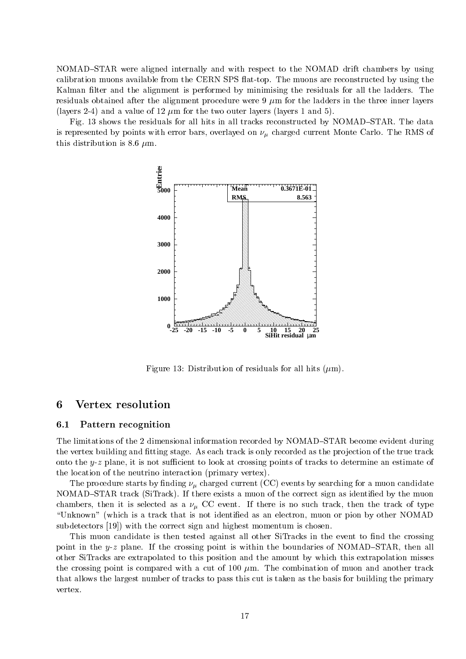NOMAD-STAR were aligned internally and with respect to the NOMAD drift chambers by using calibration muons available from the CERN SPS flat-top. The muons are reconstructed by using the Kalman filter and the alignment is performed by minimising the residuals for all the ladders. The residuals obtained after the alignment procedure were  $9 \mu m$  for the ladders in the three inner layers (layers 2-4) and a value of 12  $\mu$ m for the two outer layers (layers 1 and 5).

Fig. 13 shows the residuals for all hits in all tracks reconstructed by NOMAD–STAR. The data is represented by points with error bars, overlayed on charged current Monte Carlo. The RMS of this distribution is 8.6  $\mu$ m.



Figure 13: Distribution of residuals for all hits  $(\mu m)$ .

## 6 Vertex resolution

### 6.1Pattern recognition

The limitations of the 2 dimensional information recorded by NOMAD-STAR become evident during the vertex building and fitting stage. As each track is only recorded as the projection of the true track onto the  $y-z$  plane, it is not sufficient to look at crossing points of tracks to determine an estimate of the location of the neutrino interaction (primary vertex).

The procedure starts by  $\alpha$  and  $\alpha$  charged current (CC) events by search  $\alpha$  as muon candidate current components by NOMAD-STAR track (SiTrack). If there exists a muon of the correct sign as identified by the muon chanders, then it is selected as a cCC event. If the track, the track, then the track, the track, the type of "Unknown" (which is a track that is not identified as an electron, muon or pion by other NOMAD subdetectors [19]) with the correct sign and highest momentum is chosen.

This muon candidate is then tested against all other SiTracks in the event to find the crossing point in the y-z plane. If the crossing point is within the boundaries of NOMAD-STAR, then all other SiTracks are extrapolated to this position and the amount by which this extrapolation misses the crossing point is compared with a cut of 100  $\mu$ m. The combination of muon and another track that allows the largest number of tracks to pass this cut is taken asthe basis for building the primary vertex.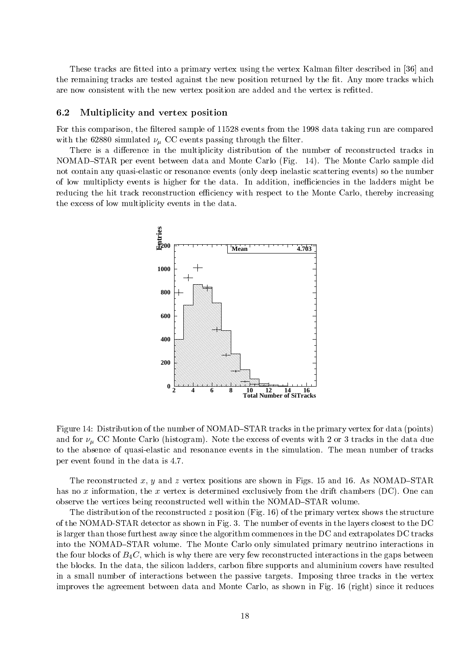These tracks are fitted into a primary vertex using the vertex Kalman filter described in [36] and the remaining tracks are tested against the new position returned by the fit. Any more tracks which are now consistent with the new vertex position are added and the vertex is refitted.

#### 6.2Multiplicity and vertex position

For this comparison, the filtered sample of 11528 events from the 1998 data taking run are compared with the 62880 simulated B extra passing through the sign that the contract  $\mu$ 

There is a difference in the multiplicity distribution of the number of reconstructed tracks in NOMAD-STAR per event between data and Monte Carlo (Fig. 14). The Monte Carlo sample did not contain any quasi-elastic or resonance events (only deep inelastic scattering events) so the number of low multiplicty events is higher for the data. In addition, inefficiencies in the ladders might be reducing the hit track reconstruction efficiency with respect to the Monte Carlo, thereby increasing the excess of low multiplicity events in the data.



Figure 14: Distribution of the number of NOMAD–STAR tracks in the primary vertex for data (points) and for  $\ell$   $\mu$  of  $\sigma$  monte Carlo (microgram). Note the excess of events with 2 or 3 tracks in the data due to the absence of quasi-elastic and resonance events in the simulation. The mean number of tracks per event found in the data is 4.7.

The reconstructed x, y and z vertex positions are shown in Figs. 15 and 16. As NOMAD-STAR has no x information, the x vertex is determined exclusively from the drift chambers (DC). One can observe the vertices being reconstructed well within the NOMAD-STAR volume.

The distribution of the reconstructed z position (Fig. 16) of the primary vertex shows the structure of the NOMAD-STAR detector as shown in Fig. 3. The number of events in the layers closest to the DC is larger than those furthest away since the algorithm commences in the DC and extrapolates DC tracks into the NOMAD-STAR volume. The Monte Carlo only simulated primary neutrino interactions in the four blocks of  $B_4C$ , which is why there are very few reconstructed interactions in the gaps between the blocks. In the data, the silicon ladders, carbon fibre supports and aluminium covers have resulted in a small number of interactions between the passive targets. Imposing three tracks in the vertex improves the agreement between data and Monte Carlo, as shown in Fig. 16 (right) since it reduces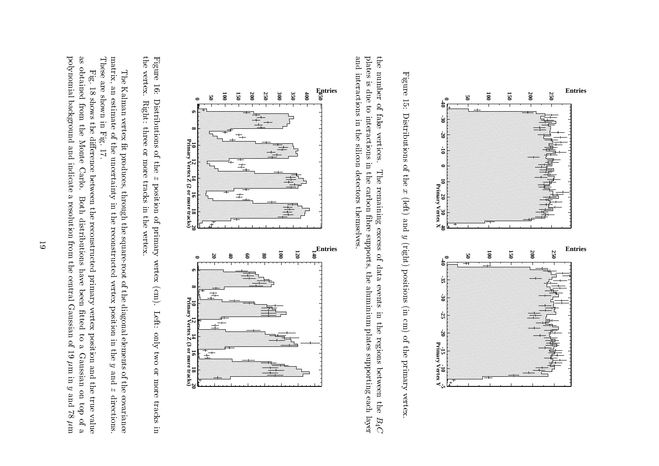

Figure 15: Distributions of the x (left) and y (right) positions (in cm) of the primary vertex. Figures ( 15: Distributions of the**x**  (left) andy<br>Y (right) positions (incm)<br>Cm<br>Cm of the primaryvertex.

and interactions in the silicon detectors themselves. plates is due to interactions in the carbon fibre supports, the aluminium plates supporting each layer the number of fake vertices. and interactions in the control of the control of the control of the control of the control of the control of the control of the control of the control of the control of the control of the control of the control of the con plates is due to interactionsthe number of fake inthe control vertices. silicon inThe remaining excess of data events in the regions between the  $B_4C$  Thedetectors of the correct of the correct of the correct of the correct of the correct of the correct of the correct of the correct of the correct of the correct of the correct of the correct of the correct of the correct of the contract of the contract of the contract of the contract of the contract of the contract of the contract of the contract of the contract of the contract of the contract of the contract of the contract of the contract o **carbon carbon carbon carbon**  remaining themselves.break the contract of the contract of the contract of the contract of the contract of the contract of the contract of the contract of the contract of the contract of the contract of the contract of the contract of the cont excess to the control of the control of the control of the control of the control of the control of the control of the control of the control of the control of the control of the control of the control of the control of th supports, of data the eventsaluminium in the company of the company of the company of the company of the company of the company of the company of the company of the company of the company of the company of the company of the company of the company of in the contract of the contract of the contract of the contract of the contract of the contract of the contract of the contract of the contract of the contract of the contract of the contract of the contract of the contrac the contract of the contract of the contract of the contract of the contract of the contract of the contract of the contract of the contract of the contract of the contract of the contract of the contract of the contract o plates supporting the contract of the contract of the contract of the contract of the contract of the contract of the contract of the contract of the contract of the contract of the contract of the contract of the contract regions between each layer the $\frac{1}{2}$ 



the vertex. Figure 16: the vertex. Figure|<br>|<br>| Distributions of the  $z$  position of primary vertex (cm). Left: only two or more tracks in Right: three or more tracks in the vertex. Distributions of Right:three or more tracks and the contract of the contract of the contract of the contract of the contract of the contract of the contract of the contract of the contract of the contract of the contract of the contract of the c thez<br>Z position in the of primary vertex vertex. (cm). Left: onlytwo<br>S orl<br>d<br>d<br>d tracks in the case of the case of the case of the case of the case of the case of the case of the case of the c in

matrix, an estimate of the uncertainty in the reconstructed vertex position in the  $y$  and  $z$  directions. These are shown in Fig. 17. matrix, an estimate of the uncertainty of the uncertainty of the uncertainty of the uncertainty of the uncertainty of the uncertainty of the uncertainty of the uncertainty of the uncertainty of the uncertainty of the uncer The Kalman vertex fit produces, through the square-root of the diagonal elements of the covariance The Kalman vertex  $\mathcal{L}_\text{max}$  vertex  $\mathcal{L}_\text{max}$  vertex  $\mathcal{L}_\text{max}$  vertex  $\mathcal{L}_\text{max}$  in Fig. 17.t<br>September<br>September produces,through the control of the control of the control of the control of the control of the control of the control of the control of the control of the control of the control of the control of the control of the control of the inthe control of the control of the control of the control of the control of the control of the control of the control of the control of the control of the control of the control of the control of the control of the control the control of the control of the control of the control of the control of the control of the control of the control of the control of the control of the control of the control of the control of the control of the control reconstructed square-root vertex ofthe control diagonal control position elements in they<br>Yuuniya and oft<br>C zdirections.covariance co

polynomial background and indicate a resolution from the central Gaussian of 19  $\mu$ m in  $y$  and 78  $\mu$ m as obtained from the Monte Carlo. polynomial backgroundas obtainedFig. 18 shows the difference between the reconstructed primary vertex position and the true value Fig. 18 showsfrom the control the control the Monte dierence and indicate Carlo. betweenBoth distributions have been fitted to a Gaussian on top of a s<br>S l<br>Both resolutionthe control distributions of the control of the control of the control of the control of the control of the control of the control of the control of the control of the control of the control of the control of the control of the contro reconstructedfrom the control of the control of the control of the control of the control of the control of the control of the control of the control of the control of the control of the control of the control of the control of the con the central have primary been Gaussian vertextted and the cold to position of 19a<br>Santa Cara Gaussian m inand and and a the control y<br>y on and 78true<br>C top value of am<br>Maria di Santa Bandara<br>Maria di Santa Dan Santa Bandara di Santa Bandara di Santa Bandara di Santa Bandara di Santa Bandara di Santa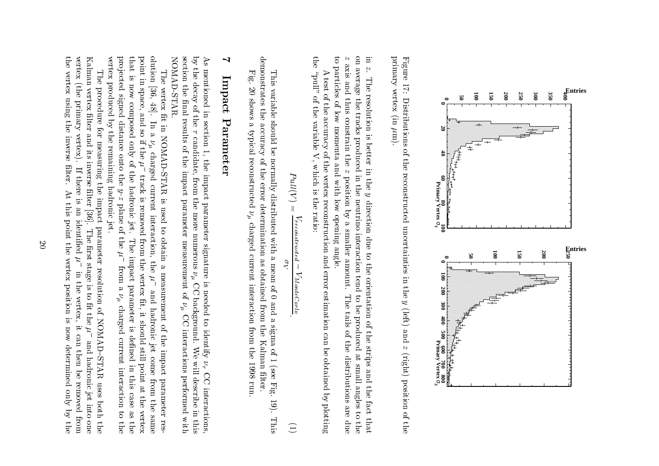

Figure 17: Distributions of the reconstructed uncertainties in the  $y$  (left) and  $z$  (right) position of the primary vertex (in  $\mu$ m). primary vertexFigure|<br>|<br>|} Distributions of the reconstructed uncertainties(international contract) m).in the complete state of the complete state of the complete state of the complete state of the complete state of the complete state of the complete state of the complete state of the complete state of the complete state of the control of the control of the control of the control of the control of the control of the control of the control of the control of the control of the control of the control of the control of the control of the control :<br>; (left) andz<br>Z (right) position $\frac{1}{2}$ 

 $\boldsymbol{\uparrow}$ on average the tracks produced in the neutrino interaction tend to be produced at small angles to the E. to particles of low momenta and with low opening angle. tozon averageinaxis and thus constrain the  $z$  position by a smaller amount. axistic control particles of the column z. The resolution is better in theThe resolution is better in the  $y$  direction due to the orientation of the strips and the fact that and thus the control of the control of the control of the control of the control of the control of the control of the control of the control of the control of the control of the control of the control of the control of the the contract of the contract of the contract of the contract of the contract of the contract of the contract of the contract of the contract of the contract of the contract of the contract of the contract of the contract o of low tracks constrain the momenta producedand and the control zinter control control of the control of the control of the control of the control of the control of the control of the control of the control of the control of the control of the control of the control of the control of th position by withthe contract of the contract of the contract of the contract of the contract of the contract of the contract of the contract of the contract of the contract of the contract of the contract of the contract of the contract o y<br>y<br>y low control neutrino direction due to the orientation openingContent Care Content Content smaller amount. interaction angle.tende som de de la composición de la composición de la composición de la composición de la composición de la composición de la composición de la composición de la composición de la composición de la composición de la compo The tails of the distributions are due Theto a control de la control de la control de la control de la control de la control de la control de la control de la control de la control de la control de la control de la control de la control de la control de la control be tails produced $\ddotsc$  of the stripsat small small small small small small small small small small small small small small small small small small small small small small small small small small small small small small small small small small small small sma distributions of the control of the control of the control of the control of the control of the control of the control of the control of the control of the control of the control of the control of the control of the contro .<br>.<br>. anglesthe contract of the contract of the contract of the contract of the contract of the contract of the contract of the contract of the contract of the contract of the contract of the contract of the contract of the contract o factors in the contract of the contract of the contract of the contract of the contract of the contract of the contract of the contract of the contract of the contract of the contract of the contract of the contract of the areto case of thatdue<br>C the control of the control of the control of the control of the control of the control of the control of the control of the control of the control of the control of the control of the control of the control of the control

the "pull" of the variable V, which is the ratio: theA test of the accuracy of the vertex reconstruction and error estimation can be obtained by plotting A\pull \pull \pull \pull \pull \pull \pull \pull \pull \pull \pull \pull \pull \pull \pull \pull \pull \pull \pull \pull \pull \pull \pull \pull \pull \pull \pull \pull \pull \pull \pull \pull \pull \pull \pull \pull \pull test of the of the.<br>Caccuracy Caccuracy variable of the V,which is a property of the control of the control of the control of the control of the control of the control of the control of the control of the control of the control of the control of the control of the control of the vertex is the reconstruction ratio:and the contract of the contract of the contract of the contract of the contract of the contract of the contract of the contract of the contract of the contract of the contract of the contract of the contract of the contra error estimationcan can can can come of the can come of the can come of the can come of the can come of the can come of the ca c<br>besteman obtainedc<br>c<br>c<br>c<br>c plotting

$$
Pull(V) = \frac{V_{reconserved} - V_{MonetCarlo}}{\sigma_V}.
$$
\n(1)

demonstrates the accuracy of the error determination as obtained from the Kalman filter. This variable should be normally distributed with a mean of 0 and a sigma of 1 (see Fig. 19). This variable shouldc<br>believe in the lines normallydistributed and distributed and distributed and distributed and distributed and distributed and distributed an with Separate Separate Separate Separate Separate Separate Separate Separate Separate Separate Separate Separa s<br>and selfmean contract of the contract of the contract of the contract of the contract of the contract of the contract of the contract of the contract of the contract of the contract of the contract of the contract of the contract of 0and and and and and a<br>a<br>a<br>a<br>a<br>a<br>a<br>a<br>a<br>a<br>a<br> sigma of 1(see 62) Fig. 19).This This

V

Fig. 20 shows a typical reconstructed  $\nu_{\mu}$  charged current interaction from the 1998 run **Fig. 20 shows 20 shows 20 shows 20 shows 20 shows 20 shows 20 shows 20 shows 20 shows 20 shows 20 shows 20 shows 20 shows 20 shows 20 shows 20 shows 20 shows 20 shows 20 shows 20 shows 20 shows 20 shows 20 shows 20 shows** ç<br>S typical control reconstructedו<br>בינוי ה charged the charged the control of the control of the control of the control of the control of the control of the control of the control of the control of the control of the control of the control of the control of the con current interaction from the 1998 run.

demonstrates the accuracy of the error determination as obtained from the Kalman lter.

# $\blacktriangleleft$ 7Impact Impact Contract Contract Contract Contract Contract Contract Contract Contract Contract Contract Contract Contract Contract Contract Contract Contract Contract Contract Contract Contract Contract Contract Contract Contract Parameter Parameter<br>Parameter<br>Parameter<br>Parameter<br>Parameter<br>Parameter<br>Parameter<br>Parameter<br>Parameter<br>

NOMAD-STAR. section the final results of the impact parameter measurement of  $\nu_{\mu}$  CC interactions performed with by the decay of the  $\tau$  candidate, from the more numerous  $\nu_{\mu}$  CC background. We will describe in this  $\Delta$ s NOMAD-STAR.section the nal results of the impact parameter measurement $\ddot{\phantom{0}}$ Asmentioned in section 1, the impact parameter signature is needed to identify  $\nu_7$  CC interactions, the couples of the couple of the couple of the couple of the couple of the couple of the couple of the couple of the couple of the couple of the couple of the couple of the couple of the couple of the couple of the couple mentioned decay of thein a casa a casa a casa a casa a casa a casa a casa a casa a casa a casa a casa a casa a casa a casa a casa a c section $\ddotsc$  candidate,1, the control of the control of the control of the control of the control of the control of the control of th impact parameter from the more numerous signature is needed to $\frac{1}{2}$ Contractor of the contractor of background. $\begin{bmatrix} 1 \\ 1 \\ 2 \end{bmatrix}$  CC interactions identify Wei<br>William  $\frac{1}{2}$  performed describe interactions, in..<br>With this

projected signed distance onto the  $y$ -z plane of the  $\mu^-$  from a  $\nu_\mu$  charged current interaction to the that is now composed only of the hadronic jet. olution [36, 48]. In a  $\nu_{\mu}$  charged current interaction, the  $\mu^{-}$  and hadronic jet come from the same vertex produced by the remaining hadronic jet. point in space, and so if the  $\mu^$ vertexpro jectedthatpoint.<br>.<br>.<br>. The vertex fit in NOMAD-STAR is used to obtain a measurement of the impact parameter res-The is in produced.<br>.<br>. [36, 48].<br>[36, 48]. vertex space, signedcomposed in the composed in the composed of the composed in the composed in the composed in the composed in the composed in the composed in the composed in the composed in the composed in the composed in the composed in th and|<br>|<br>|<br>|<br>| **c**<br>c<br>c<br>c<br>c<br>c<br>c<br>c<br>c<br>c<br>c<br><br><br><br><br> distance (d. 1919) In in sothe contract of the contract of the contract of the contract of the contract of the contract of the contract of the contract of the contract of the contract of the contract of the contract of the contract of the contract o .<br>.<br>.<br>. NOMAD-START COMPUTERS if the $\blacksquare$  only remaining charged onto of theP.I.I track is removed from the vertex fit, it should still point at the vertex the contract of the contract of the contract of the contract of the contract of the contract of the contract of the contract of the contract of the contract of the contract of the contract of the contract of the contract o trackcurrent current current current current current current current current current current current current current current current current current current current current current current current current current current curren hadronichadronic control of the control of the control of the control of the control of the control of the control of the control of the control of the control of the control of the control of the control of the control of the con y-z isis used to the control of the control of the control of the control of the control of the control of the control of the control of the control of the control of the control of the control of the control of the control of t plane removed interaction,jet.<br>S jet. of toThe impact parameter is defined in this case as the the obtain Thefrom the control of the control of the control of the control of the control of the control of the control of the control of the control of the control of the control of the control of the control of the control of the con  $\rm H_{10}$  impact the vertex the afrom measurementith<br>alli parameter $\alpha$  is a charged in the case of  $\alpha$ i<br>E t, it hadronic should of is thede een de geheer van de geheer van de geheer van de geheer van de geheer van de geheer van de geheer van de ge current current current current current current current current current current current current current current current current current current current current current current current current current current current curren jet je poznata za najveći poznata za poznata za poznata za zativ za zativ za zativ za zativ za zativ za zativ<br>Dogodki still point impact come in interactionthis contribution is a contribution of the contribution of the contribution of the contribution of the contribution of the contribution of the contribution of the contribution of the contribution of the contribution of the from parametere<br>at .<br>.<br>. the control the same to.<br>.<br>. vertex resthe control of the control of the control of the control of the control of the control of the control of the control of the control of the control of the control of the control of the control of the control of the control the

the vertex using the inverse filter. At this point the vertex position is now determined only by the vertex (the primary vertex). Kalman vertex filter and its inverse filter [36]. The first stage is to fit the  $\mu^-$  and hadronic jet into one thevertexKalman vertexThe procedure for measuring the impact parameter resolution of NOMAD-STAR uses both the The vertex(the contract of the contract) is a contract of the contract of the contract of the contract of the contract o procedure using primarylter is a community of the community the contract of the contract of the contract of the contract of the contract of the contract of the contract of the contract of the contract of the contract of the contract of the contract of the contract of the contract o for the control vertex). and inverse measuringits in the control inverselter.<br>. If there is an identified  $\mu^-$  in the vertex, it can then be removed from If therethe contract of the contract of the contract of the contract of the contract of the contract of the contract of the contract of the contract of the contract of the contract of the contract of the contract of the contract o Atlter<br>C impact is thisand and the second control of the control of the control of the control of the control of the control of the control of the control of the control of the control of the control of the control of the control of the control [36]. point identied parameter $\mathbf{r}$  the $\mathbb{H} \mathbb{H}$  iii vertex resolutioninthe contract of the contract of the contract of the contract of the contract of the contract of the contract of the contract of the contract of the contract of the contract of the contract of the contract of the contract o position is a constant of the constant of the constant of the constant of the constant of the constant of the constant of the constant of the constant of the constant of the constant of the constant of the constant of the vertex, of NOMAD{STAR is now itzuk can can be comedy and hadronic jet intodetermined and the contract of the contract of the contract of the contract of the contract of the contract of the contract of the contract of the contract of the contract of the contract of the contract of the contract of then the control of the control of the control of the control of the control of the control of the control of the control of the control of the control of the control of the control of the control of the control of the con c<br>belief removed uses both.<br>.<br>. :<br>:<br>: from the contract of the contract of the contract of the contract of the contract of the contract of the contract of the contract of the contract of the contract of the contract of the contract of the contract of the contr onethe contract of the contract of the contract of the contract of the contract of the contract of the contract of the contract of the contract of the contract of the contract of the contract of the contract of the contract o the contract of the contract of the contract of the contract of the contract of the contract of the contract of the contract of the contract of the contract of the contract of the contract of the contract of the contract o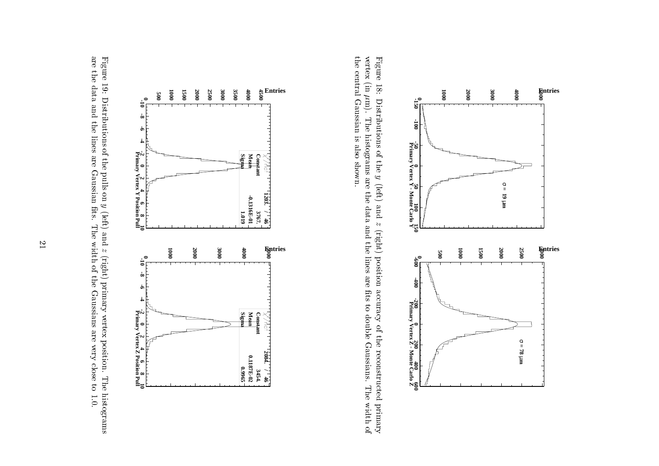



the central Gaussian is also shown. Figure 18: Distributions of the  $y$  (left) and  $z$  (right) position accuracy of the reconstructed primary vertex (in  $\mu$ m). The histograms are the data and the lines are fits to double Gaussians. The width of the centralvertexFigure(international contract) |<br>|<br>| m). Gaussian Distributions of The histograms are the data and the lines are ts to double Gaussians. is also the shown.:<br>;  $\begin{bmatrix} 1 & 1 & 1 \\ 1 & 1 & 1 \\ 1 & 1 & 1 \\ 1 & 1 & 1 \\ 1 & 1 & 1 \\ 1 & 1 & 1 \\ 1 & 1 & 1 \\ 1 & 1 & 1 \\ 1 & 1 & 1 \\ 1 & 1 & 1 \\ 1 & 1 & 1 \\ 1 & 1 & 1 \\ 1 & 1 & 1 \\ 1 & 1 & 1 \\ 1 & 1 & 1 \\ 1 & 1 & 1 \\ 1 & 1 & 1 \\ 1 & 1 & 1 \\ 1 & 1 & 1 \\ 1 & 1 & 1 \\ 1 & 1 & 1 \\ 1 & 1 & 1 \\ 1 & 1 & 1 \\ 1 & 1 &$  andz<br>Z (right) position accuracy of the reconstructedThe width of the width of the width of the width of the width of the width of the width of the width of the width of the width of the width of the width of the width of the width of the width of the width of the width of t primary



 $\overline{2}$ |<br>|<br>|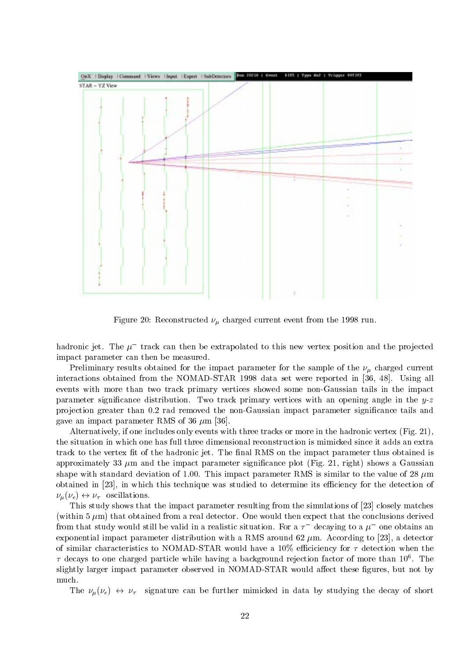

 $\mathcal{L}$  -construction  $\mathcal{L}$  . Reconstructed and  $\mathcal{L}$  are 1998 run. In the 1998 run. In the 1998 run.

hadronic jet. The  $\mu$  -track can then be extrapolated to this new vertex position and the projected impact parameter can then be measured.

Preliminary results obtained for the impact parameter for the sample of the charged current interactions obtained from the NOMAD-STAR 1998 data set were reported in [36, 48]. Using all events with more than two track primary vertices showed some non-Gaussian tails in the impact parameter significance distribution. Two track primary vertices with an opening angle in the  $y-z$ projection greater than 0.2 rad removed the non-Gaussian impact parameter significance tails and gave an impact parameter RMS of 36  $\mu$ m [36].

Alternatively, if one includes only events with three tracks or more in the hadronic vertex (Fig. 21), the situation in which one has full three dimensional reconstruction is mimicked since it adds an extra track to the vertex fit of the hadronic jet. The final RMS on the impact parameter thus obtained is approximately 33  $\mu$ m and the impact parameter significance plot (Fig. 21, right) shows a Gaussian shape with standard deviation of 1.00. This impact parameter RMS is similar to the value of 28  $\mu$ m obtained in [23], in which this technique was studied to determine its efficiency for the detection of (e) \$ oscillations.

This study shows that the impact parameter resulting from the simulations of [23] closely matches (within  $5 \mu m$ ) that obtained from a real detector. One would then expect that the conclusions derived from that study would still be valid in a realistic situation. For a  $\tau$  -decaying to a  $\mu$  -one obtains an exponential impact parameter distribution with a RMS around 62  $\mu$ m. According to [23], a detector of similar characteristics to NOMAD-STAR would have a 10% efficiency for  $\tau$  detection when the  $\tau$  decays to one charged particle while having a background rejection factor of more than 10 . The slightly larger impact parameter observed in NOMAD-STAR would affect these figures, but not by much.

The full can be further minicipal data by studying the decay of  $\mu$  studying the decay of short  $\mu$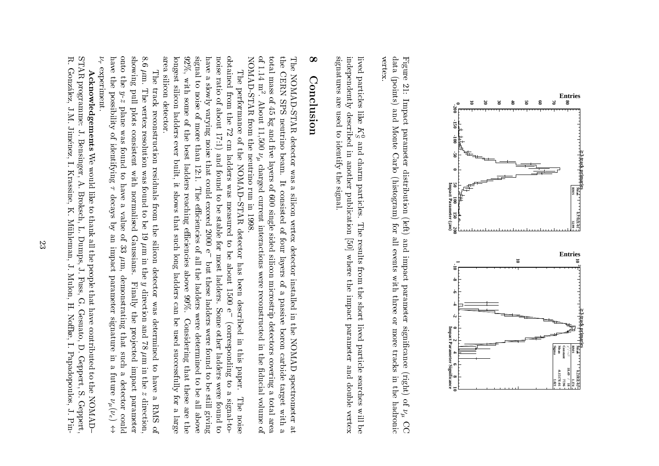

data (points) and Monte Carlo (histogram) for all events with three or more tracks in the hadronic Figure 21: Impact parameter distribution (left) and impact parameter significance (right) of  $\nu_{\mu}$  CC vertex data da se Figure (points)|<br>|<br>|<br>|<br>| Impact and Monte parameter Carlo distribution (left) (histogram) forr<br>C and events impactwith the light of the control of the control of the control of the control of the control of the control of the control of the control of the control of the control of the control of the control of the control of the contr parameter three orcancer cancer cancer moretracks in the case of (right) in the of hadronic֧֚֝<br>֧֚֝<br>֧֖֪֪֪֪֪֚֚֝֝֝֝֝֝֝֝֬֝֝֬֝֝֝֬֝֝֝֝֝֝֝ C<sub>C</sub>

vertex.

signatures are used to identify the signal. independently described in another publication [50] where the impact parameter and double vertex signatures are used to identifyindependentlylivedparticleslike it is a set of the set of the set of the set of the set of the set of the set of the set of the set of the set of the set of the set of the set of the set of the set of the set of the set of the set of the set of the des des contracts de la companya de la companya de la companya de la companya de la companya de la companya de<br>Casa de la companya de la companya de la companya de la companya de la companya de la companya de la companya C<br>C and charmin the company of the company of the company of the company of the company of the company of the company of the company of the company of the company of the company of the company of the company of the company of the compa .<br>.<br>.<br>. the contract of the contract of the contract of the contract of the contract of the contract of the contract of the contract of the contract of the contract of the contract of the contract of the contract of the contract o particles. signal.publication of the contract of the contract of the contract of the contract of the contract of the contract of The results from the short lived  $\mathcal{L}_\text{max}$  and  $\mathcal{L}_\text{max}$  is defined by [50] where the impact parameter particle.<br>.<br>. searchesdouble .<br>William vertexi<br>C

# $\infty$ 8Conclusion Conclusion in the conclusion in the conclusion in the conclusion in the conclusion in the conclusion in the conclusion in the conclusion in the conclusion in the conclusion in the conclusion in the conclusion in the conclu

total mass of 45 kg and five layers of 600 single sided silicon microstrip detectors covering a total area NOMAD-STAR from the neutrino run in 1998. the CERN SPS neutrino beam. It consisted of four layers of a passive boron carbide target with a The NOMAD-STAR detector was a silicon vertex detector installed in the NOMAD spectrometer at NOMAD-STAR from the neutrino run in 1998.of 1.14 m2total mass of 45 kg and ve layerstheThe NOMAD-STAR detector wasC<br>C .SPS - SPS - SPS - SPS - SPS - SPS - SPS - SPS - SPS - SPS - SPS - SPS - SPS - SPS - SPS - SPS - SPS - SPS - SP About 11,500 neutrino beam. $\begin{bmatrix} 1 & 1 \\ 1 & 1 \end{bmatrix}$  charged It ofs<br>angles consisted silicon**6**<br>6 current interactions were were associated in the current control of the current control of the current control of the current control of the current control of the current control of the current control of the current cont single vertex of four sided detector silicon layers installed in the NOMAD spectrometer at microstrip of reconstructedi<br>C passivedetectors of the correct of the correct of the correct of the correct of the correct of the correct of the correct of the correct of the correct of the correct of the correct of the correct of the correct of the correct of boron in the contract of the contract of the contract of the contract of the contract of the contract of the contract of the contract of the contract of the contract of the contract of the contract of the contract of the c ini circa control de la control de la control de la control de la control de la control de la control de la co<br>Control de la control de la control de la control de la control de la control de la control de la control de l the control of the control of the control of the control of the control of the control of the control of the control of the control of the control of the control of the control of the control of the control of the control .<br>.<br>. coveringducial control ducial control ducial control ducial control ducial control ducial control ducial control ducia<br>Control ducial control ducial control ducial control ducial control ducial control ducial control ducial contro targete<br>Second volumeto also .<br>With area ofi<br>.<br>.

area silicon detector. signal to noise of more than 12:1. The efficiencies of all the ladders were determined to be all above noise ratio of about 17:1) and found to be stable for most ladders. longest silicon ladders ever built, it shows that such long ladders can be used successfully for a large  $92\%$ , with some of the best ladders reaching efficiencies above  $99\%$ . Considering that these are the have a slowly varying noise that could exceed  $2000 e^-$  but these ladders were found to be still giving obtained from the 72 cm ladders was measured to be about 1500  $e^$ area silicon detector.longest silicon ladders ever92%,i<br>Signal to havenoise ratio of about 17:1) and found to be stable for most ladders.obtainedThe performance of the NOMAD-STAR detector has been described in this paper. Thee<br>a<br>c<br>c<br>c<br>c<br>c<br>c<br>c<br><br><br><br><br><br><br><br> with the control slowly performancefrom the control some varying the 72 of more the of noisecm and contributed in bestthan 12:12 theladders i Stefan i Stefan i Stefan i Stefan i Stefan i Stefan i Stefan i Stefan i Stefan i Stefan i Stefan i S built, it shows thatladders of the color NOMAD{STARRENT} could be a was reachingexceeding to the control of the control of the control of the control of the control of the control of the control of the control of the control of the control of the control of the control of the control of the control of measured in the content of the content of the content of the content of the content of the content of the content of the content of the content of the content of the content of the content of the content of the content of that color eciencies)<br>2000<br>2000 detector of the control of the control of the control of the control of the control of the control of the control of the control of the control of the control of the control of the control of the control of the control of c<br>Such<br>F toe<br>Dut belong states of the control of the control of the control of the control of the control of the control of the control of the control of the control of the control of the control of the control of the control of the control all thebut these ladders were hasabout 2012 aboveladders of the control been ladders were1<br>250 99%.described in the control of the control of the control of the control of the control of the control of the control of the control of the control of the control of the control of the control of the control of the control of c<br>c Some other ladders were found to Some other ladders weree<br>COI be Considering(corresponding to a signal-to-(correspondinge<br>S determined to in found successfullythis contribute the contribution of the contribution of the contribution of the contribution of the contribution of the contribution of the contribution of the contribution of the contribution of the contribution of the co that contains a company paper. to tod<br>G<br>G<br>G<br>G these be all aboveS<br>B<br>S The noise still for The signal-to foundere over S<br>D giving noiselarge secara dan kamang di secara dan kamang di secara dan kamang di secara dan kamang di dengan kamang di deng<br>Disebut di dengan kamang di dengan kamang di dengan kamang di dengan kamang di dengan kamang di dengan kamang the control of the control of the control of the control of the control of the control of the control of the control of the control of the control of the control of the control of the control of the control of the control to

 $8.6~\mu{\rm m}.$ showing pull plots consistent with normalised Gaussians.  $\nu_{\tau}$  experiment. have the possibility of identifying  $\tau$  decays by an impact parameter signature in a future  $\nu_{\mu}(\nu_{e}) \leftrightarrow$ onto the  $\overline{\phantom{a}}$ haveontoshowing8.6experiment.The track reconstruction residuals from the silicon detector was determined to have a RMS of m.The thethe control The vertex resolution was found to be 19  $\mu$ m in the  $y$  direction and 78  $\mu$ m in the z The vertextrack the second control  $y-z$  plane was found to have a value of 33  $\mu$ m, **Pulled Street Contracts**  possibility of y-z plane plots reconstruction wasconsistent of the constant of the constant of the constant of the constant of the constant of the constant of the constant of the constant of the constant of the constant of the constant of the constant of the constant of resolution identifying found residuals.<br>With was de la component de la component de la component de la component de la component de la component de la compo<br>De la component de la component de la component de la component de la component de la component de la componen to the control have $\begin{bmatrix} 1 & 1 & 1 \\ 1 & 1 & 1 \\ 1 & 1 & 1 \\ 1 & 1 & 1 \\ 1 & 1 & 1 \\ 1 & 1 & 1 \\ 1 & 1 & 1 \\ 1 & 1 & 1 \\ 1 & 1 & 1 \\ 1 & 1 & 1 \\ 1 & 1 & 1 \\ 1 & 1 & 1 \\ 1 & 1 & 1 \\ 1 & 1 & 1 \\ 1 & 1 & 1 \\ 1 & 1 & 1 \\ 1 & 1 & 1 \\ 1 & 1 & 1 \\ 1 & 1 & 1 \\ 1 & 1 & 1 \\ 1 & 1 & 1 \\ 1 & 1 & 1 \\ 1 & 1 & 1 \\ 1 & 1 &$  found normaliseddecays in the contract of the contract of the contract of the contract of the contract of the contract of the contract of the contract of the contract of the contract of the contract of the contract of the contract of the s<br>S from to value be:<br>; the silicon1<br>1920<br>1920<br>1920 .<br>.<br>. of Gaussians.m in the theory is the contract of the contract of the contract of the contract of the contract of the contract of the contract of the contract of the contract of the contract of the contract of the contract of the contrac (<br>3 impact m, detectordemonstrating that such a detector could demonstrating parameterFinally the projected impact parameter Finallyy<br>Sepang direction and 78 was thesignature and the company of the company of the company of the company of the company of the company of the company of the company of the company of the company of the company of the company of the company of the company o determined pro jectedthat controlled a controlled a controlled a controlled a controlled a controlled a controlled a controlled a controlled a controlled a controlled a controlled a controlled a controlled a controlled a controlled a controlle suchman di secondo della contrarea della contrarea dell'altre della contrarea della contrarea della contrarea dell' into the control of the control of the control of the control of the control of the control of the control of the control of the control of the control of the control of the control of the control of the control of the contr .<br>.<br>.<br>. impactin the zero control of  $\alpha$ cocococo future havedetector of the core of the core of the core of the core of the core of the core of the core of the core of the core of the core of the core of the core of the core of the core of the core of the core of the core of the co parameter in the contract of the contract of the contract of the contract of the contract of the contract of the contract of the contract of the contract of the contract of the contract of the contract of the contract of t direction, s<br>animation direction, and containing the contact of the contact of the contact of the contact of the contact of the contact of the contact of the contact of the contact of the contact of the contact of the contact of the contact of t  $($ e)  $\mathbb{R}$  RMS could $\overline{a}$ of

R, STAR programme: J. Bensinger, A. Broksch, L. Dumps, J. Fuss, G. Gesuato, D. Geppert, S. Geppert, R. Gonzalez, J.M. Jimenez, I. Krassine, K. Muhleman, J. Mulon, H. Noke,STAR programme:González, J.M. Jiménez, I. Krassine, K. Mühleman, J. Mulon, H. Noffke, I. Papadopoulos, J. Pin-Acknowledgements We would like to thank all the people that have contributed to the NOMAD– Acknowledgements J. Bensinger, A. Broksch,We would like the control of the control of the control of the control of the control of the control of the control of the control of the control of the control of the control of the control of the control of the control o to complete thanks are the contract of the contract of the contract of the contract of the contract of the contract of the contract of the contract of the contract of the contract of the contract of the contract of the contract of the L. Dumps, $\frac{1}{2}$  people J. Fuss, G. Gesuato, D. Geppert, S. Geppert,that contract of the contract of the contract of the contract of the contract of the contract of the contract of the contract of the contract of the contract of the contract of the contract of the contract of the contract have contributed I.Papadopoulos, California California (California California) to the control of the control of the control of the control of the control of the control of the control of the control of the control of the control of the control of the control of the control of the control of the contr the contract of the contract of the contract of the contract of the contract of the contract of the contract of the contract of the contract of the contract of the contract of the contract of the contract of the contract o NOMAD{ J.Pin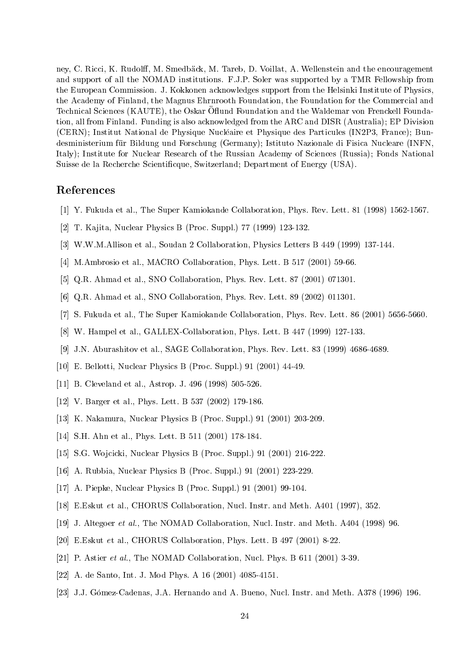ney, C. Ricci, K. Rudolff, M. Smedbäck, M. Tareb, D. Voillat, A. Wellenstein and the encouragement and support of all the NOMAD institutions. F.J.P. Soler was supported by a TMR Fellowship from the European Commission. J. Kokkonen acknowledges support from the Helsinki Institute of Physics, the Academy of Finland, the Magnus Ehrnrooth Foundation, the Foundation for the Commercial and Technical Sciences (KAUTE), the Oskar Oliunu Foundation and the Waldemar von Frenckell Foundation, all from Finland. Funding is also acknowledged from the ARC and DISR (Australia); EP Division (CERN); Institut National de Physique Nucleaire et Physique des Particules (IN2P3, France); Bundesministerium für Bildung und Forschung (Germany); Istituto Nazionale di Fisica Nucleare (INFN, Italy); Institute for Nuclear Research of the Russian Academy of Sciences (Russia); Fonds National Suisse de la Recherche Scienticque, Switzerland; Department of Energy (USA).

## References

- [1] Y. Fukuda et al., The Super Kamiokande Collaboration, Phys. Rev. Lett. 81 (1998) 1562-1567.
- [2] T. Kajita, Nuclear Physics B (Proc. Suppl.) 77 (1999) 123-132.
- [3] W.W.M.Allison et al., Soudan 2 Collaboration, Physics Letters B 449 (1999) 137-144.
- [4] M.Ambrosio et al., MACRO Collaboration, Phys. Lett. B 517 (2001) 59-66.
- [5] Q.R. Ahmad et al., SNO Collaboration, Phys. Rev. Lett. 87 (2001) 071301.
- [6] Q.R. Ahmad et al., SNO Collaboration, Phys. Rev. Lett. 89 (2002) 011301.
- [7] S. Fukuda et al., The Super Kamiokande Collaboration, Phys. Rev. Lett. 86 (2001) 5656-5660.
- [8] W. Hampel et al., GALLEX-Collaboration, Phys. Lett. B 447 (1999) 127-133.
- [9] J.N. Aburashitov et al., SAGE Collaboration, Phys. Rev. Lett. 83 (1999) 4686-4689.
- [10] E. Bellotti, Nuclear Physics B (Proc. Suppl.) 91 (2001) 44-49.
- [11] B. Cleveland et al., Astrop. J. 496 (1998) 505-526.
- [12] V. Barger et al., Phys. Lett. B 537 (2002) 179-186.
- [13] K. Nakamura, Nuclear Physics B (Proc. Suppl.) 91 (2001) 203-209.
- [14] S.H. Ahn et al., Phys. Lett. B 511 (2001) 178-184.
- [15] S.G. Wojcicki, Nuclear Physics B (Proc. Suppl.) 91 (2001) 216-222.
- [16] A. Rubbia, Nuclear Physics B (Proc. Suppl.) 91 (2001) 223-229.
- [17] A. Piepke, Nuclear Physics B (Proc. Suppl.) 91 (2001) 99-104.
- [18] E.Eskut et al., CHORUS Collaboration, Nucl. Instr. and Meth. A401 (1997), 352.
- [19] J. Altegoer et al., The NOMAD Collaboration, Nucl. Instr. and Meth. A404 (1998) 96.
- [20] E.Eskut et al., CHORUS Collaboration, Phys. Lett. B 497 (2001) 8-22.
- [21] P. Astier et al., The NOMAD Collaboration, Nucl. Phys. B 611 (2001) 3-39.
- [22] A. de Santo, Int. J. Mod Phys. A 16 (2001) 4085-4151.
- [23] J.J. Gómez-Cadenas, J.A. Hernando and A. Bueno, Nucl. Instr. and Meth. A378 (1996) 196.